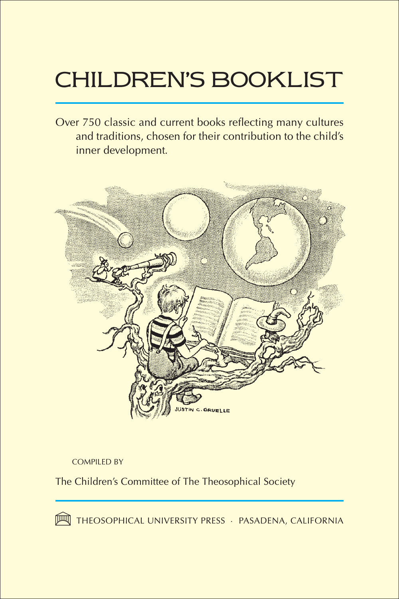# CHILDREN'S BOOKLIST

Over 750 classic and current books reflecting many cultures and traditions, chosen for their contribution to the child's inner development.



compiled by

The Children's Committee of The Theosophical Society

**M THEOSOPHICAL UNIVERSITY PRESS · PASADENA, CALIFORNIA**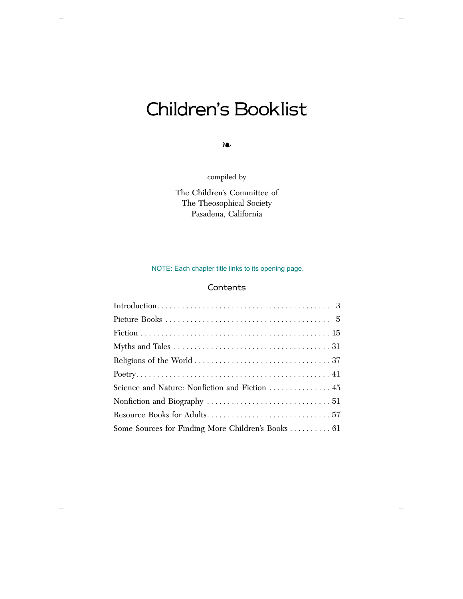## Children's Booklist

❧

compiled by

The Children's Committee of The Theosophical Society Pasadena, California

#### NOTE: Each chapter title links to its opening page.

#### **Contents**

| Science and Nature: Nonfiction and Fiction  45     |
|----------------------------------------------------|
|                                                    |
|                                                    |
| Some Sources for Finding More Children's Books  61 |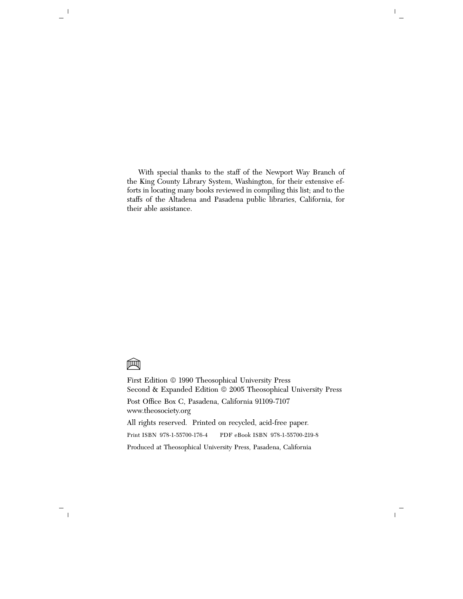With special thanks to the staff of the Newport Way Branch of the King County Library System, Washington, for their extensive efforts in locating many books reviewed in compiling this list; and to the staffs of the Altadena and Pasadena public libraries, California, for their able assistance.



First Edition © 1990 Theosophical University Press Second & Expanded Edition © 2005 Theosophical University Press Post Office Box C, Pasadena, California 91109-7107 www.theosociety.org All rights reserved. Printed on recycled, acid-free paper. Print ISBN 978-1-55700-176-4 PDF eBook ISBN 978-1-55700-219-8 Produced at Theosophical University Press, Pasadena, California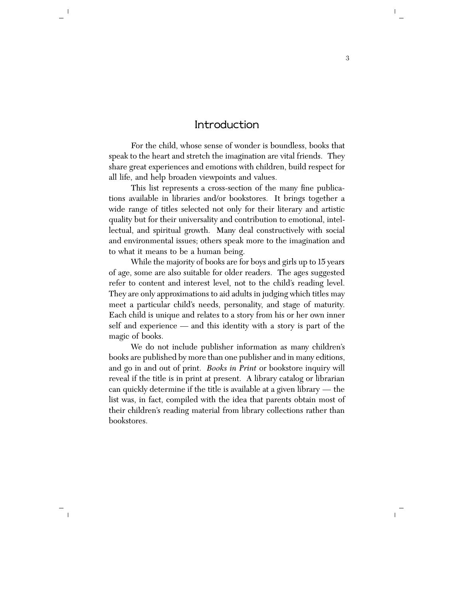#### Introduction

<span id="page-4-0"></span>For the child, whose sense of wonder is boundless, books that speak to the heart and stretch the imagination are vital friends. They share great experiences and emotions with children, build respect for all life, and help broaden viewpoints and values.

This list represents a cross-section of the many fine publications available in libraries and/or bookstores. It brings together a wide range of titles selected not only for their literary and artistic quality but for their universality and contribution to emotional, intellectual, and spiritual growth. Many deal constructively with social and environmental issues; others speak more to the imagination and to what it means to be a human being.

While the majority of books are for boys and girls up to 15 years of age, some are also suitable for older readers. The ages suggested refer to content and interest level, not to the child's reading level. They are only approximations to aid adults in judging which titles may meet a particular child's needs, personality, and stage of maturity. Each child is unique and relates to a story from his or her own inner self and experience — and this identity with a story is part of the magic of books.

We do not include publisher information as many children's books are published by more than one publisher and in many editions, and go in and out of print. *Books in Print* or bookstore inquiry will reveal if the title is in print at present. A library catalog or librarian can quickly determine if the title is available at a given library — the list was, in fact, compiled with the idea that parents obtain most of their children's reading material from library collections rather than bookstores.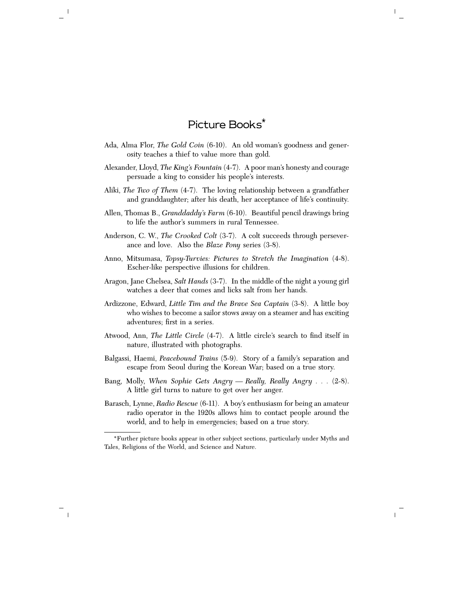## Picture Books\*

- <span id="page-6-0"></span>Ada, Alma Flor, *The Gold Coin* (6-10). An old woman's goodness and generosity teaches a thief to value more than gold.
- Alexander, Lloyd, *The King's Fountain* (4-7). A poor man's honesty and courage persuade a king to consider his people's interests.
- Aliki, *The Two of Them* (4-7). The loving relationship between a grandfather and granddaughter; after his death, her acceptance of life's continuity.
- Allen, Thomas B., *Granddaddy's Farm* (6-10). Beautiful pencil drawings bring to life the author's summers in rural Tennessee.
- Anderson, C. W., *The Crooked Colt* (3-7). A colt succeeds through perseverance and love. Also the *Blaze Pony* series (3-8).
- Anno, Mitsumasa, *Topsy-Turvies: Pictures to Stretch the Imagination* (4-8). Escher-like perspective illusions for children.
- Aragon, Jane Chelsea, *Salt Hands* (3-7). In the middle of the night a young girl watches a deer that comes and licks salt from her hands.
- Ardizzone, Edward, *Little Tim and the Brave Sea Captain* (3-8). A little boy who wishes to become a sailor stows away on a steamer and has exciting adventures; first in a series.
- Atwood, Ann, *The Little Circle* (4-7). A little circle's search to find itself in nature, illustrated with photographs.
- Balgassi, Haemi, *Peacebound Trains* (5-9). Story of a family's separation and escape from Seoul during the Korean War; based on a true story.
- Bang, Molly, *When Sophie Gets Angry Really, Really Angry . . .* (2-8). A little girl turns to nature to get over her anger.
- Barasch, Lynne, *Radio Rescue* (6-11). A boy's enthusiasm for being an amateur radio operator in the 1920s allows him to contact people around the world, and to help in emergencies; based on a true story.

<sup>\*</sup>Further picture books appear in other subject sections, particularly under Myths and Tales, Religions of the World, and Science and Nature.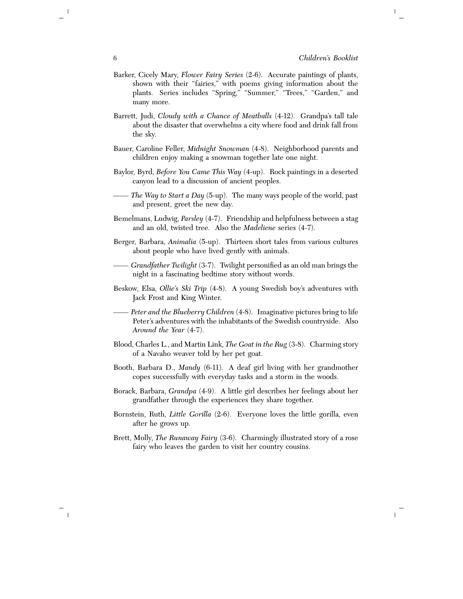- Barker, Cicely Mary, *Flower Fairy Series* (2-6). Accurate paintings of plants, shown with their "fairies," with poems giving information about the plants. Series includes "Spring," "Summer," "Trees," "Garden," and many more.
- Barrett, Judi, *Cloudy with a Chance of Meatballs* (4-12). Grandpa's tall tale about the disaster that overwhelms a city where food and drink fall from the sky.
- Bauer, Caroline Feller, *Midnight Snowman* (4-8). Neighborhood parents and children enjoy making a snowman together late one night.
- Baylor, Byrd, *Before You Came This Way* (4-up). Rock paintings in a deserted canyon lead to a discussion of ancient peoples.
- —— *The Way to Start a Day* (5-up). The many ways people of the world, past and present, greet the new day.
- Bemelmans, Ludwig, *Parsley* (4-7). Friendship and helpfulness between a stag and an old, twisted tree. Also the *Madeliene* series (4-7).
- Berger, Barbara, *Animalia* (5-up). Thirteen short tales from various cultures about people who have lived gently with animals.
- —— *Grandfather Twilight* (3-7). Twilight personified as an old man brings the night in a fascinating bedtime story without words.
- Beskow, Elsa, *Ollie's Ski Trip* (4-8). A young Swedish boy's adventures with Jack Frost and King Winter.
- —— *Peter and the Blueberry Children* (4-8). Imaginative pictures bring to life Peter's adventures with the inhabitants of the Swedish countryside. Also *Around the Year* (4-7).
- Blood, Charles L., and Martin Link, *The Goat in the Rug* (3-8). Charming story of a Navaho weaver told by her pet goat.
- Booth, Barbara D., *Mandy* (6-11). A deaf girl living with her grandmother copes successfully with everyday tasks and a storm in the woods.
- Borack, Barbara, *Grandpa* (4-9). A little girl describes her feelings about her grandfather through the experiences they share together.
- Bornstein, Ruth, *Little Gorilla* (2-6). Everyone loves the little gorilla, even after he grows up.
- Brett, Molly, *The Runaway Fairy* (3-6). Charmingly illustrated story of a rose fairy who leaves the garden to visit her country cousins.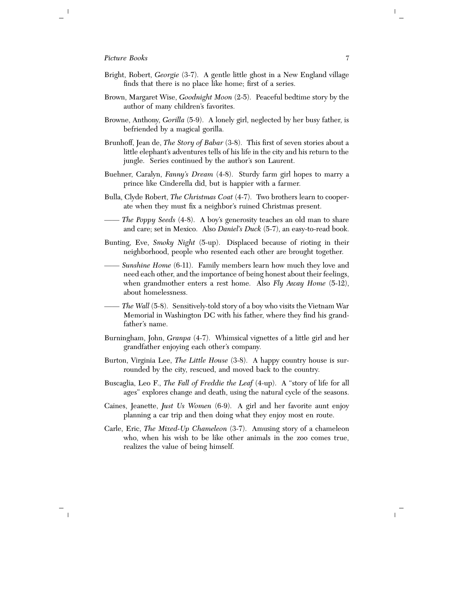- Bright, Robert, *Georgie* (3-7). A gentle little ghost in a New England village finds that there is no place like home; first of a series.
- Brown, Margaret Wise, *Goodnight Moon* (2-5). Peaceful bedtime story by the author of many children's favorites.
- Browne, Anthony, *Gorilla* (5-9). A lonely girl, neglected by her busy father, is befriended by a magical gorilla.
- Brunhoff, Jean de, *The Story of Babar* (3-8). This first of seven stories about a little elephant's adventures tells of his life in the city and his return to the jungle. Series continued by the author's son Laurent.
- Buehner, Caralyn, *Fanny's Dream* (4-8). Sturdy farm girl hopes to marry a prince like Cinderella did, but is happier with a farmer.
- Bulla, Clyde Robert, *The Christmas Coat* (4-7). Two brothers learn to cooperate when they must fix a neighbor's ruined Christmas present.
- —— *The Poppy Seeds* (4-8). A boy's generosity teaches an old man to share and care; set in Mexico. Also *Daniel's Duck* (5-7), an easy-to-read book.
- Bunting, Eve, *Smoky Night* (5-up). Displaced because of rioting in their neighborhood, people who resented each other are brought together.
- —— *Sunshine Home* (6-11). Family members learn how much they love and need each other, and the importance of being honest about their feelings, when grandmother enters a rest home. Also *Fly Away Home* (5-12), about homelessness.
- —— *The Wall* (5-8). Sensitively-told story of a boy who visits the Vietnam War Memorial in Washington DC with his father, where they find his grandfather's name.
- Burningham, John, *Granpa* (4-7). Whimsical vignettes of a little girl and her grandfather enjoying each other's company.
- Burton, Virginia Lee, *The Little House* (3-8). A happy country house is surrounded by the city, rescued, and moved back to the country.
- Buscaglia, Leo F., *The Fall of Freddie the Leaf* (4-up). A ''story of life for all ages'' explores change and death, using the natural cycle of the seasons.
- Caines, Jeanette, *Just Us Women* (6-9). A girl and her favorite aunt enjoy planning a car trip and then doing what they enjoy most en route.
- Carle, Eric, *The Mixed-Up Chameleon* (3-7). Amusing story of a chameleon who, when his wish to be like other animals in the zoo comes true, realizes the value of being himself.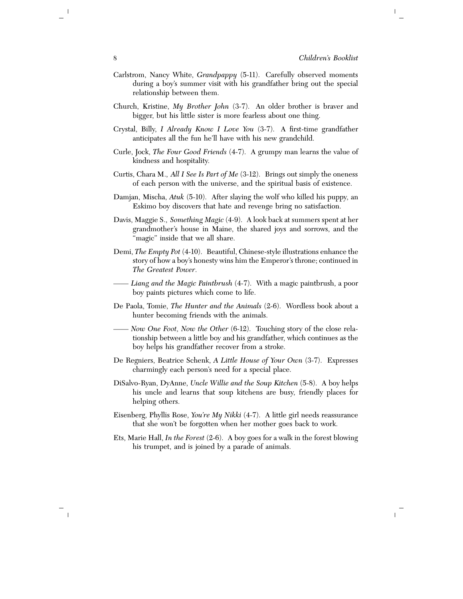- Carlstrom, Nancy White, *Grandpappy* (5-11). Carefully observed moments during a boy's summer visit with his grandfather bring out the special relationship between them.
- Church, Kristine, *My Brother John* (3-7). An older brother is braver and bigger, but his little sister is more fearless about one thing.
- Crystal, Billy, *I Already Know I Love You* (3-7). A first-time grandfather anticipates all the fun he'll have with his new grandchild.
- Curle, Jock, *The Four Good Friends* (4-7). A grumpy man learns the value of kindness and hospitality.
- Curtis, Chara M., *All I See Is Part of Me* (3-12). Brings out simply the oneness of each person with the universe, and the spiritual basis of existence.
- Damjan, Mischa, *Atuk* (5-10). After slaying the wolf who killed his puppy, an Eskimo boy discovers that hate and revenge bring no satisfaction.
- Davis, Maggie S., *Something Magic* (4-9). A look back at summers spent at her grandmother's house in Maine, the shared joys and sorrows, and the "magic" inside that we all share.
- Demi, *The Empty Pot* (4-10). Beautiful, Chinese-style illustrations enhance the story of how a boy's honesty wins him the Emperor's throne; continued in *The Greatest Power*.
- —— *Liang and the Magic Paintbrush* (4-7). With a magic paintbrush, a poor boy paints pictures which come to life.
- De Paola, Tomie, *The Hunter and the Animals* (2-6). Wordless book about a hunter becoming friends with the animals.
- —— *Now One Foot, Now the Other* (6-12). Touching story of the close relationship between a little boy and his grandfather, which continues as the boy helps his grandfather recover from a stroke.
- De Regniers, Beatrice Schenk, *A Little House of Your Own* (3-7). Expresses charmingly each person's need for a special place.
- DiSalvo-Ryan, DyAnne, *Uncle Willie and the Soup Kitchen* (5-8). A boy helps his uncle and learns that soup kitchens are busy, friendly places for helping others.
- Eisenberg, Phyllis Rose, *You're My Nikki* (4-7). A little girl needs reassurance that she won't be forgotten when her mother goes back to work.
- Ets, Marie Hall, *In the Forest* (2-6). A boy goes for a walk in the forest blowing his trumpet, and is joined by a parade of animals.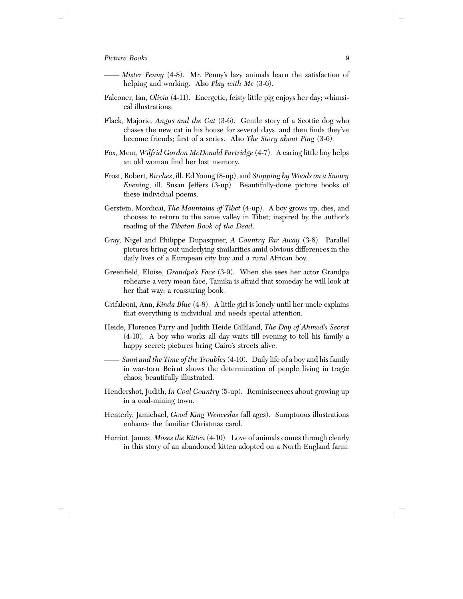- —— *Mister Penny* (4-8). Mr. Penny's lazy animals learn the satisfaction of helping and working. Also *Play with Me* (3-6).
- Falconer, Ian, *Olivia* (4-11). Energetic, feisty little pig enjoys her day; whimsical illustrations.
- Flack, Majorie, *Angus and the Cat* (3-6). Gentle story of a Scottie dog who chases the new cat in his house for several days, and then finds they've become friends; first of a series. Also *The Story about Ping* (3-6).
- Fox, Mem, *Wilfrid Gordon McDonald Partridge* (4-7). A caring little boy helps an old woman find her lost memory.
- Frost, Robert, *Birches*, ill. Ed Young (8-up), and *Stopping by Woods on a Snowy Evening*, ill. Susan Jeffers (3-up). Beautifully-done picture books of these individual poems.
- Gerstein, Mordicai, *The Mountains of Tibet* (4-up). A boy grows up, dies, and chooses to return to the same valley in Tibet; inspired by the author's reading of the *Tibetan Book of the Dead*.
- Gray, Nigel and Philippe Dupasquier, *A Country Far Away* (3-8). Parallel pictures bring out underlying similarities amid obvious differences in the daily lives of a European city boy and a rural African boy.
- Greenfield, Eloise, *Grandpa's Face* (3-9). When she sees her actor Grandpa rehearse a very mean face, Tamika is afraid that someday he will look at her that way; a reassuring book.
- Grifalconi, Ann, *Kinda Blue* (4-8). A little girl is lonely until her uncle explains that everything is individual and needs special attention.
- Heide, Florence Parry and Judith Heide Gilliland, *The Day of Ahmed's Secret* (4-10). A boy who works all day waits till evening to tell his family a happy secret; pictures bring Cairo's streets alive.
- —— *Sami and the Time of the Troubles* (4-10). Daily life of a boy and his family in war-torn Beirut shows the determination of people living in tragic chaos; beautifully illustrated.
- Hendershot, Judith, *In Coal Country* (5-up). Reminiscences about growing up in a coal-mining town.
- Henterly, Jamichael, *Good King Wenceslas* (all ages). Sumptuous illustrations enhance the familiar Christmas carol.
- Herriot, James, *Moses the Kitten* (4-10). Love of animals comes through clearly in this story of an abandoned kitten adopted on a North England farm.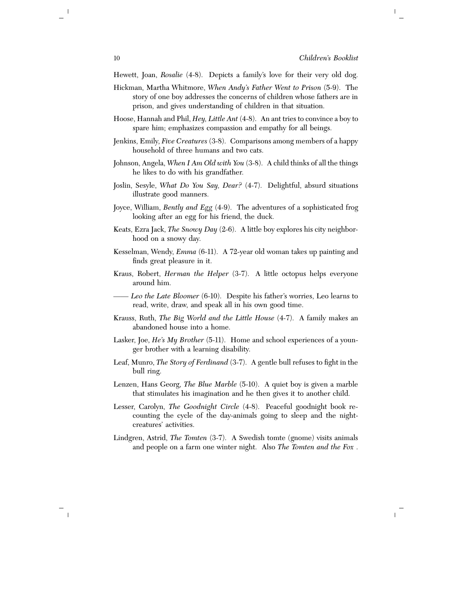- Hewett, Joan, *Rosalie* (4-8). Depicts a family's love for their very old dog.
- Hickman, Martha Whitmore, *When Andy's Father Went to Prison* (5-9). The story of one boy addresses the concerns of children whose fathers are in prison, and gives understanding of children in that situation.
- Hoose, Hannah and Phil, *Hey, Little Ant* (4-8). An ant tries to convince a boy to spare him; emphasizes compassion and empathy for all beings.
- Jenkins, Emily, *Five Creatures* (3-8). Comparisons among members of a happy household of three humans and two cats.
- Johnson, Angela, *When I Am Old with You* (3-8). A child thinks of all the things he likes to do with his grandfather.
- Joslin, Sesyle, *What Do You Say, Dear?* (4-7). Delightful, absurd situations illustrate good manners.
- Joyce, William, *Bently and Egg* (4-9). The adventures of a sophisticated frog looking after an egg for his friend, the duck.
- Keats, Ezra Jack, *The Snowy Day* (2-6). A little boy explores his city neighborhood on a snowy day.
- Kesselman, Wendy, *Emma* (6-11). A 72-year old woman takes up painting and finds great pleasure in it.
- Kraus, Robert, *Herman the Helper* (3-7). A little octopus helps everyone around him.
- —— *Leo the Late Bloomer* (6-10). Despite his father's worries, Leo learns to read, write, draw, and speak all in his own good time.
- Krauss, Ruth, *The Big World and the Little House* (4-7). A family makes an abandoned house into a home.
- Lasker, Joe, *He's My Brother* (5-11). Home and school experiences of a younger brother with a learning disability.
- Leaf, Munro, *The Story of Ferdinand* (3-7). A gentle bull refuses to fight in the bull ring.
- Lenzen, Hans Georg, *The Blue Marble* (5-10). A quiet boy is given a marble that stimulates his imagination and he then gives it to another child.
- Lesser, Carolyn, *The Goodnight Circle* (4-8). Peaceful goodnight book recounting the cycle of the day-animals going to sleep and the nightcreatures' activities.
- Lindgren, Astrid, *The Tomten* (3-7). A Swedish tomte (gnome) visits animals and people on a farm one winter night. Also *The Tomten and the Fox* .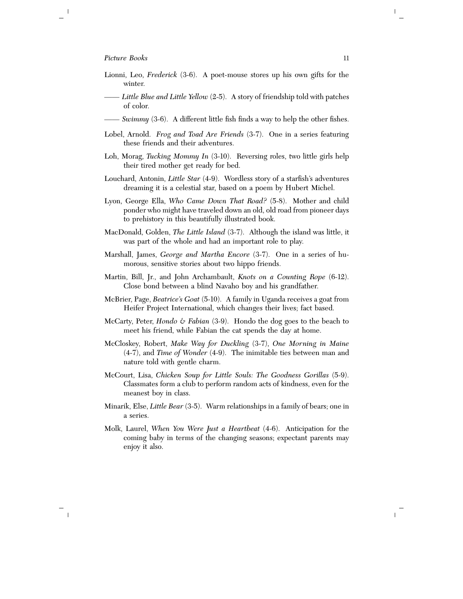- Lionni, Leo, *Frederick* (3-6). A poet-mouse stores up his own gifts for the winter.
- —— *Little Blue and Little Yellow* (2-5). A story of friendship told with patches of color.
- —— *Swimmy* (3-6). A different little fish finds a way to help the other fishes.
- Lobel, Arnold. *Frog and Toad Are Friends* (3-7). One in a series featuring these friends and their adventures.
- Loh, Morag, *Tucking Mommy In* (3-10). Reversing roles, two little girls help their tired mother get ready for bed.
- Louchard, Antonin, *Little Star* (4-9). Wordless story of a starfish's adventures dreaming it is a celestial star, based on a poem by Hubert Michel.
- Lyon, George Ella, *Who Came Down That Road?* (5-8). Mother and child ponder who might have traveled down an old, old road from pioneer days to prehistory in this beautifully illustrated book.
- MacDonald, Golden, *The Little Island* (3-7). Although the island was little, it was part of the whole and had an important role to play.
- Marshall, James, *George and Martha Encore* (3-7). One in a series of humorous, sensitive stories about two hippo friends.
- Martin, Bill, Jr., and John Archambault, *Knots on a Counting Rope* (6-12). Close bond between a blind Navaho boy and his grandfather.
- McBrier, Page, *Beatrice's Goat* (5-10). A family in Uganda receives a goat from Heifer Project International, which changes their lives; fact based.
- McCarty, Peter, *Hondo & Fabian* (3-9). Hondo the dog goes to the beach to meet his friend, while Fabian the cat spends the day at home.
- McCloskey, Robert, *Make Way for Duckling* (3-7), *One Morning in Maine* (4-7), and *Time of Wonder* (4-9). The inimitable ties between man and nature told with gentle charm.
- McCourt, Lisa, *Chicken Soup for Little Souls: The Goodness Gorillas* (5-9). Classmates form a club to perform random acts of kindness, even for the meanest boy in class.
- Minarik, Else, *Little Bear* (3-5). Warm relationships in a family of bears; one in a series.
- Molk, Laurel, *When You Were Just a Heartbeat* (4-6). Anticipation for the coming baby in terms of the changing seasons; expectant parents may enjoy it also.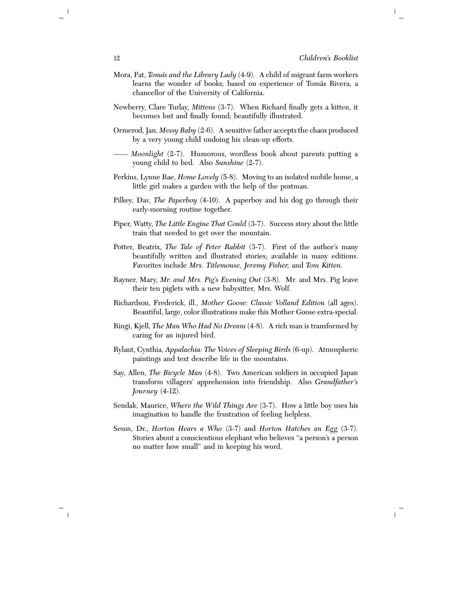- Mora, Pat, *Tomás and the Library Lady* (4-9). A child of migrant farm workers learns the wonder of books; based on experience of Tomás Rivera, a chancellor of the University of California.
- Newberry, Clare Turlay, *Mittens* (3-7). When Richard finally gets a kitten, it becomes lost and finally found; beautifully illustrated.
- Ormerod, Jan, *Messy Baby* (2-6). A sensitive father accepts the chaos produced by a very young child undoing his clean-up efforts.
- —— *Moonlight* (2-7). Humorous, wordless book about parents putting a young child to bed. Also *Sunshine* (2-7).
- Perkins, Lynne Rae, *Home Lovely* (5-8). Moving to an isolated mobile home, a little girl makes a garden with the help of the postman.
- Pilkey, Dav, *The Paperboy* (4-10). A paperboy and his dog go through their early-morning routine together.
- Piper, Watty, *The Little Engine That Could* (3-7). Success story about the little train that needed to get over the mountain.
- Potter, Beatrix, *The Tale of Peter Rabbit* (3-7). First of the author's many beautifully written and illustrated stories; available in many editions. Favorites include *Mrs. Titlemouse, Jeremy Fisher,* and *Tom Kitten*.
- Rayner, Mary, *Mr. and Mrs. Pig's Evening Out* (3-8). Mr. and Mrs. Pig leave their ten piglets with a new babysitter, Mrs. Wolf.
- Richardson, Frederick, ill., *Mother Goose: Classic Volland Edition* (all ages). Beautiful, large, color illustrations make this Mother Goose extra-special.
- Ringi, Kjell, *The Man Who Had No Dream* (4-8). A rich man is transformed by caring for an injured bird.
- Rylant, Cynthia, *Appalachia: The Voices of Sleeping Birds* (6-up). Atmospheric paintings and text describe life in the mountains.
- Say, Allen, *The Bicycle Man* (4-8). Two American soldiers in occupied Japan transform villagers' apprehension into friendship. Also *Grandfather's Journey* (4-12).
- Sendak, Maurice, *Where the Wild Things Are* (3-7). How a little boy uses his imagination to handle the frustration of feeling helpless.
- Seuss, Dr., *Horton Hears a Who* (3-7) and *Horton Hatches an Egg* (3-7). Stories about a conscientious elephant who believes ''a person's a person no matter how small'' and in keeping his word.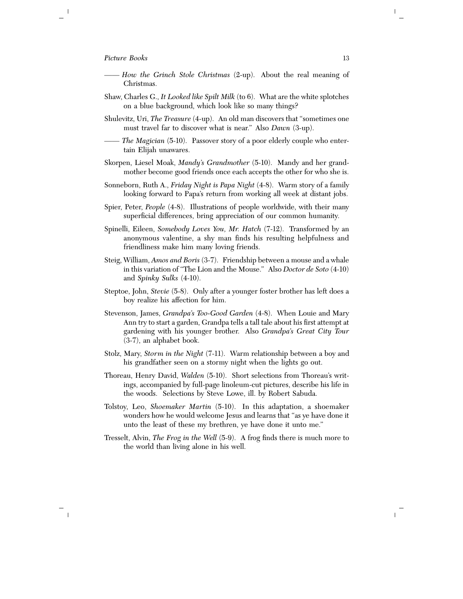- —— *How the Grinch Stole Christmas* (2-up). About the real meaning of Christmas.
- Shaw, Charles G., *It Looked like Spilt Milk* (to 6). What are the white splotches on a blue background, which look like so many things?
- Shulevitz, Uri, *The Treasure* (4-up). An old man discovers that ''sometimes one must travel far to discover what is near.'' Also *Dawn* (3-up).
- —— *The Magician* (5-10). Passover story of a poor elderly couple who entertain Elijah unawares.
- Skorpen, Liesel Moak, *Mandy's Grandmother* (5-10). Mandy and her grandmother become good friends once each accepts the other for who she is.
- Sonneborn, Ruth A., *Friday Night is Papa Night* (4-8). Warm story of a family looking forward to Papa's return from working all week at distant jobs.
- Spier, Peter, *People* (4-8). Illustrations of people worldwide, with their many superficial differences, bring appreciation of our common humanity.
- Spinelli, Eileen, *Somebody Loves You, Mr. Hatch* (7-12). Transformed by an anonymous valentine, a shy man finds his resulting helpfulness and friendliness make him many loving friends.
- Steig, William, *Amos and Boris* (3-7). Friendship between a mouse and a whale in this variation of ''The Lion and the Mouse.'' Also *Doctor de Soto* (4-10) and *Spinky Sulks* (4-10).
- Steptoe, John, *Stevie* (5-8). Only after a younger foster brother has left does a boy realize his affection for him.
- Stevenson, James, *Grandpa's Too-Good Garden* (4-8). When Louie and Mary Ann try to start a garden, Grandpa tells a tall tale about his first attempt at gardening with his younger brother. Also *Grandpa's Great City Tour* (3-7), an alphabet book.
- Stolz, Mary, *Storm in the Night* (7-11). Warm relationship between a boy and his grandfather seen on a stormy night when the lights go out.
- Thoreau, Henry David, *Walden* (5-10). Short selections from Thoreau's writings, accompanied by full-page linoleum-cut pictures, describe his life in the woods. Selections by Steve Lowe, ill. by Robert Sabuda.
- Tolstoy, Leo, *Shoemaker Martin* (5-10). In this adaptation, a shoemaker wonders how he would welcome Jesus and learns that ''as ye have done it unto the least of these my brethren, ye have done it unto me.''
- Tresselt, Alvin, *The Frog in the Well* (5-9). A frog finds there is much more to the world than living alone in his well.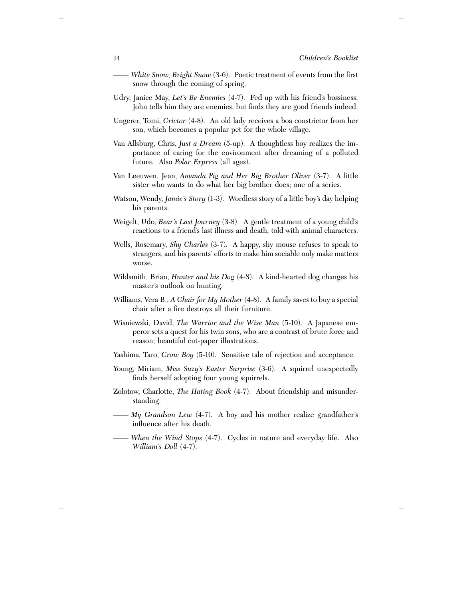- —— *White Snow, Bright Snow* (3-6). Poetic treatment of events from the first snow through the coming of spring.
- Udry, Janice May, *Let's Be Enemies* (4-7). Fed up with his friend's bossiness, John tells him they are enemies, but finds they are good friends indeed.
- Ungerer, Tomi, *Crictor* (4-8). An old lady receives a boa constrictor from her son, which becomes a popular pet for the whole village.
- Van Allsburg, Chris, *Just a Dream* (5-up). A thoughtless boy realizes the importance of caring for the environment after dreaming of a polluted future. Also *Polar Express* (all ages).
- Van Leeuwen, Jean, *Amanda Pig and Her Big Brother Oliver* (3-7). A little sister who wants to do what her big brother does; one of a series.
- Watson, Wendy, *Jamie's Story* (1-3). Wordless story of a little boy's day helping his parents.
- Weigelt, Udo, *Bear's Last Journey* (3-8). A gentle treatment of a young child's reactions to a friend's last illness and death, told with animal characters.
- Wells, Rosemary, *Shy Charles* (3-7). A happy, shy mouse refuses to speak to strangers, and his parents' efforts to make him sociable only make matters worse.
- Wildsmith, Brian, *Hunter and his Dog* (4-8). A kind-hearted dog changes his master's outlook on hunting.
- Williams, Vera B., *A Chair for My Mother* (4-8). A family saves to buy a special chair after a fire destroys all their furniture.
- Wisniewski, David, *The Warrior and the Wise Man* (5-10). A Japanese emperor sets a quest for his twin sons, who are a contrast of brute force and reason; beautiful cut-paper illustrations.
- Yashima, Taro, *Crow Boy* (5-10). Sensitive tale of rejection and acceptance.
- Young, Miriam, *Miss Suzy's Easter Surprise* (3-6). A squirrel unexpectedly finds herself adopting four young squirrels.
- Zolotow, Charlotte, *The Hating Book* (4-7). About friendship and misunderstanding.
- —— *My Grandson Lew* (4-7). A boy and his mother realize grandfather's influence after his death.
- —— *When the Wind Stops* (4-7). Cycles in nature and everyday life. Also *William's Doll* (4-7).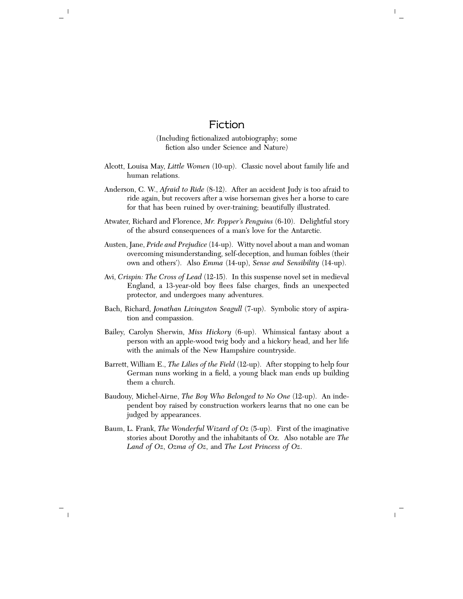### Fiction

<span id="page-16-0"></span>(Including fictionalized autobiography; some fiction also under Science and Nature)

- Alcott, Louisa May, *Little Women* (10-up). Classic novel about family life and human relations.
- Anderson, C. W., *Afraid to Ride* (8-12). After an accident Judy is too afraid to ride again, but recovers after a wise horseman gives her a horse to care for that has been ruined by over-training; beautifully illustrated.
- Atwater, Richard and Florence, *Mr. Popper's Penguins* (6-10). Delightful story of the absurd consequences of a man's love for the Antarctic.
- Austen, Jane, *Pride and Prejudice* (14-up). Witty novel about a man and woman overcoming misunderstanding, self-deception, and human foibles (their own and others'). Also *Emma* (14-up), *Sense and Sensibility* (14-up).
- Avi, *Crispin: The Cross of Lead* (12-15). In this suspense novel set in medieval England, a 13-year-old boy flees false charges, finds an unexpected protector, and undergoes many adventures.
- Bach, Richard, *Jonathan Livingston Seagull* (7-up). Symbolic story of aspiration and compassion.
- Bailey, Carolyn Sherwin, *Miss Hickory* (6-up). Whimsical fantasy about a person with an apple-wood twig body and a hickory head, and her life with the animals of the New Hampshire countryside.
- Barrett, William E., *The Lilies of the Field* (12-up). After stopping to help four German nuns working in a field, a young black man ends up building them a church.
- Baudouy, Michel-Airne, *The Boy Who Belonged to No One* (12-up). An independent boy raised by construction workers learns that no one can be judged by appearances.
- Baum, L. Frank, *The Wonderful Wizard of Oz* (5-up). First of the imaginative stories about Dorothy and the inhabitants of Oz. Also notable are *The Land of Oz*, *Ozma of Oz*, and *The Lost Princess of Oz*.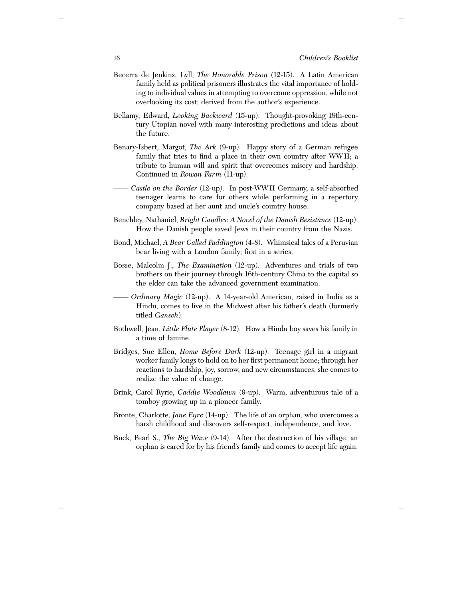- Becerra de Jenkins, Lyll, *The Honorable Prison* (12-15). A Latin American family held as political prisoners illustrates the vital importance of holding to individual values in attempting to overcome oppression, while not overlooking its cost; derived from the author's experience.
- Bellamy, Edward, *Looking Backward* (15-up). Thought-provoking 19th-century Utopian novel with many interesting predictions and ideas about the future.
- Benary-Isbert, Margot, *The Ark* (9-up). Happy story of a German refugee family that tries to find a place in their own country after WWII; a tribute to human will and spirit that overcomes misery and hardship. Continued in *Rowan Farm* (11-up).
- —— *Castle on the Border* (12-up). In post-WWII Germany, a self-absorbed teenager learns to care for others while performing in a repertory company based at her aunt and uncle's country house.
- Benchley, Nathaniel, *Bright Candles: A Novel of the Danish Resistance* (12-up). How the Danish people saved Jews in their country from the Nazis.
- Bond, Michael, *A Bear Called Paddington* (4-8). Whimsical tales of a Peruvian bear living with a London family; first in a series.
- Bosse, Malcolm J., *The Examination* (12-up). Adventures and trials of two brothers on their journey through 16th-century China to the capital so the elder can take the advanced government examination.
- —— *Ordinary Magic* (12-up). A 14-year-old American, raised in India as a Hindu, comes to live in the Midwest after his father's death (formerly titled *Ganseh*).
- Bothwell, Jean, *Little Flute Player* (8-12). How a Hindu boy saves his family in a time of famine.
- Bridges, Sue Ellen, *Home Before Dark* (12-up). Teenage girl in a migrant worker family longs to hold on to her first permanent home; through her reactions to hardship, joy, sorrow, and new circumstances, she comes to realize the value of change.
- Brink, Carol Ryrie, *Caddie Woodlawn* (9-up). Warm, adventurous tale of a tomboy growing up in a pioneer family.
- Bronte, Charlotte, *Jane Eyre* (14-up). The life of an orphan, who overcomes a harsh childhood and discovers self-respect, independence, and love.
- Buck, Pearl S., *The Big Wave* (9-14). After the destruction of his village, an orphan is cared for by his friend's family and comes to accept life again.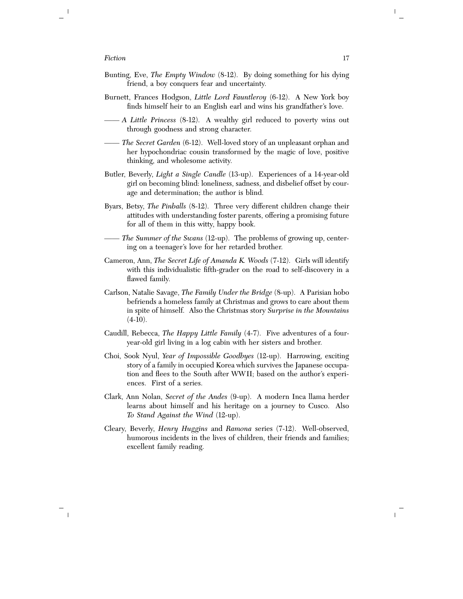- Bunting, Eve, *The Empty Window* (8-12). By doing something for his dying friend, a boy conquers fear and uncertainty.
- Burnett, Frances Hodgson, *Little Lord Fauntleroy* (6-12). A New York boy finds himself heir to an English earl and wins his grandfather's love.
- —— *A Little Princess* (8-12). A wealthy girl reduced to poverty wins out through goodness and strong character.
- —— *The Secret Garden* (6-12). Well-loved story of an unpleasant orphan and her hypochondriac cousin transformed by the magic of love, positive thinking, and wholesome activity.
- Butler, Beverly, *Light a Single Candle* (13-up). Experiences of a 14-year-old girl on becoming blind: loneliness, sadness, and disbelief offset by courage and determination; the author is blind.
- Byars, Betsy, *The Pinballs* (8-12). Three very different children change their attitudes with understanding foster parents, offering a promising future for all of them in this witty, happy book.
- —— *The Summer of the Swans* (12-up). The problems of growing up, centering on a teenager's love for her retarded brother.
- Cameron, Ann, *The Secret Life of Amanda K. Woods* (7-12). Girls will identify with this individualistic fifth-grader on the road to self-discovery in a flawed family.
- Carlson, Natalie Savage, *The Family Under the Bridge* (8-up). A Parisian hobo befriends a homeless family at Christmas and grows to care about them in spite of himself. Also the Christmas story *Surprise in the Mountains*  $(4-10)$ .
- Caudill, Rebecca, *The Happy Little Family* (4-7). Five adventures of a fouryear-old girl living in a log cabin with her sisters and brother.
- Choi, Sook Nyul, *Year of Impossible Goodbyes* (12-up). Harrowing, exciting story of a family in occupied Korea which survives the Japanese occupation and flees to the South after WWII; based on the author's experiences. First of a series.
- Clark, Ann Nolan, *Secret of the Andes* (9-up). A modern Inca llama herder learns about himself and his heritage on a journey to Cusco. Also *To Stand Against the Wind* (12-up).
- Cleary, Beverly, *Henry Huggins* and *Ramona* series (7-12). Well-observed, humorous incidents in the lives of children, their friends and families; excellent family reading.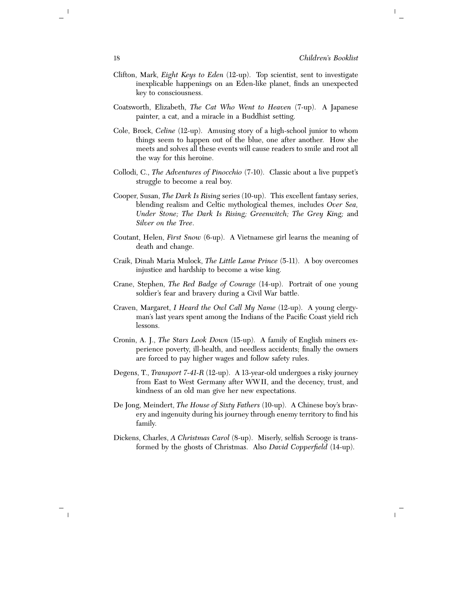- Clifton, Mark, *Eight Keys to Eden* (12-up). Top scientist, sent to investigate inexplicable happenings on an Eden-like planet, finds an unexpected key to consciousness.
- Coatsworth, Elizabeth, *The Cat Who Went to Heaven* (7-up). A Japanese painter, a cat, and a miracle in a Buddhist setting.
- Cole, Brock, *Celine* (12-up). Amusing story of a high-school junior to whom things seem to happen out of the blue, one after another. How she meets and solves all these events will cause readers to smile and root all the way for this heroine.
- Collodi, C., *The Adventures of Pinocchio* (7-10). Classic about a live puppet's struggle to become a real boy.
- Cooper, Susan, *The Dark Is Rising* series (10-up). This excellent fantasy series, blending realism and Celtic mythological themes, includes *Over Sea, Under Stone; The Dark Is Rising; Greenwitch; The Grey King;* and *Silver on the Tree*.
- Coutant, Helen, *First Snow* (6-up). A Vietnamese girl learns the meaning of death and change.
- Craik, Dinah Maria Mulock, *The Little Lame Prince* (5-11). A boy overcomes injustice and hardship to become a wise king.
- Crane, Stephen, *The Red Badge of Courage* (14-up). Portrait of one young soldier's fear and bravery during a Civil War battle.
- Craven, Margaret, *I Heard the Owl Call My Name* (12-up). A young clergyman's last years spent among the Indians of the Pacific Coast yield rich lessons.
- Cronin, A. J., *The Stars Look Down* (15-up). A family of English miners experience poverty, ill-health, and needless accidents; finally the owners are forced to pay higher wages and follow safety rules.
- Degens, T., *Transport 7-41-R* (12-up). A 13-year-old undergoes a risky journey from East to West Germany after WWII, and the decency, trust, and kindness of an old man give her new expectations.
- De Jong, Meindert, *The House of Sixty Fathers* (10-up). A Chinese boy's bravery and ingenuity during his journey through enemy territory to find his family.
- Dickens, Charles, *A Christmas Carol* (8-up). Miserly, selfish Scrooge is transformed by the ghosts of Christmas. Also *David Copperfield* (14-up).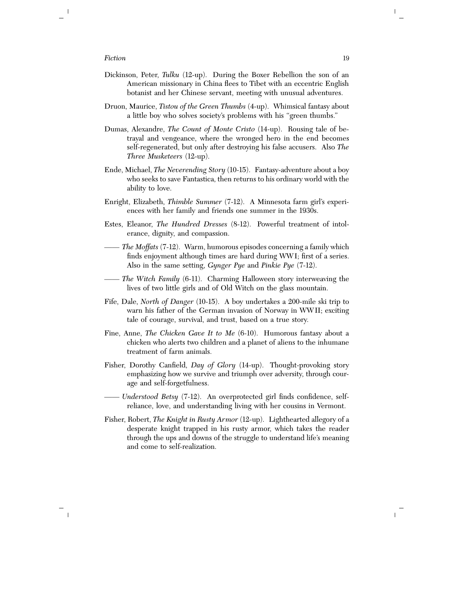- Dickinson, Peter, *Tulku* (12-up). During the Boxer Rebellion the son of an American missionary in China flees to Tibet with an eccentric English botanist and her Chinese servant, meeting with unusual adventures.
- Druon, Maurice, *Tistou of the Green Thumbs* (4-up). Whimsical fantasy about a little boy who solves society's problems with his ''green thumbs.''
- Dumas, Alexandre, *The Count of Monte Cristo* (14-up). Rousing tale of betrayal and vengeance, where the wronged hero in the end becomes self-regenerated, but only after destroying his false accusers. Also *The Three Musketeers* (12-up).
- Ende, Michael, *The Neverending Story* (10-15). Fantasy-adventure about a boy who seeks to save Fantastica, then returns to his ordinary world with the ability to love.
- Enright, Elizabeth, *Thimble Summer* (7-12). A Minnesota farm girl's experiences with her family and friends one summer in the 1930s.
- Estes, Eleanor, *The Hundred Dresses* (8-12). Powerful treatment of intolerance, dignity, and compassion.
- —— *The Moffats* (7-12). Warm, humorous episodes concerning a family which finds enjoyment although times are hard during WWI; first of a series. Also in the same setting, *Gynger Pye* and *Pinkie Pye* (7-12).
- —— *The Witch Family* (6-11). Charming Halloween story interweaving the lives of two little girls and of Old Witch on the glass mountain.
- Fife, Dale, *North of Danger* (10-15). A boy undertakes a 200-mile ski trip to warn his father of the German invasion of Norway in WWII; exciting tale of courage, survival, and trust, based on a true story.
- Fine, Anne, *The Chicken Gave It to Me* (6-10). Humorous fantasy about a chicken who alerts two children and a planet of aliens to the inhumane treatment of farm animals.
- Fisher, Dorothy Canfield, *Day of Glory* (14-up). Thought-provoking story emphasizing how we survive and triumph over adversity, through courage and self-forgetfulness.
- —— *Understood Betsy* (7-12). An overprotected girl finds confidence, selfreliance, love, and understanding living with her cousins in Vermont.
- Fisher, Robert, *The Knight in Rusty Armor* (12-up). Lighthearted allegory of a desperate knight trapped in his rusty armor, which takes the reader through the ups and downs of the struggle to understand life's meaning and come to self-realization.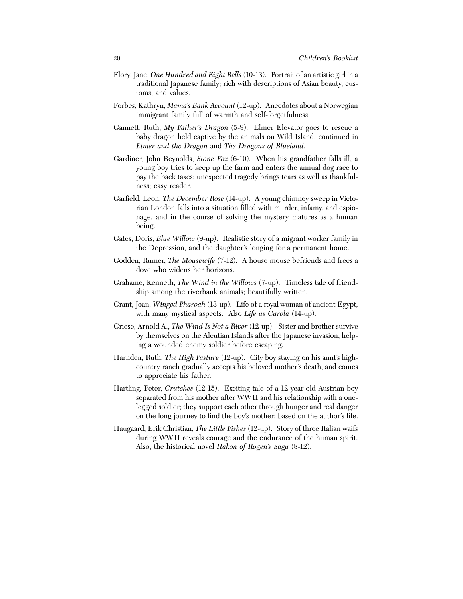- Flory, Jane, *One Hundred and Eight Bells* (10-13). Portrait of an artistic girl in a traditional Japanese family; rich with descriptions of Asian beauty, customs, and values.
- Forbes, Kathryn, *Mama's Bank Account* (12-up). Anecdotes about a Norwegian immigrant family full of warmth and self-forgetfulness.
- Gannett, Ruth, *My Father's Dragon* (5-9). Elmer Elevator goes to rescue a baby dragon held captive by the animals on Wild Island; continued in *Elmer and the Dragon* and *The Dragons of Blueland*.
- Gardiner, John Reynolds, *Stone Fox* (6-10). When his grandfather falls ill, a young boy tries to keep up the farm and enters the annual dog race to pay the back taxes; unexpected tragedy brings tears as well as thankfulness; easy reader.
- Garfield, Leon, *The December Rose* (14-up). A young chimney sweep in Victorian London falls into a situation filled with murder, infamy, and espionage, and in the course of solving the mystery matures as a human being.
- Gates, Doris, *Blue Willow* (9-up). Realistic story of a migrant worker family in the Depression, and the daughter's longing for a permanent home.
- Godden, Rumer, *The Mousewife* (7-12). A house mouse befriends and frees a dove who widens her horizons.
- Grahame, Kenneth, *The Wind in the Willows* (7-up). Timeless tale of friendship among the riverbank animals; beautifully written.
- Grant, Joan, *Winged Pharoah* (13-up). Life of a royal woman of ancient Egypt, with many mystical aspects. Also *Life as Carola* (14-up).
- Griese, Arnold A., *The Wind Is Not a River* (12-up). Sister and brother survive by themselves on the Aleutian Islands after the Japanese invasion, helping a wounded enemy soldier before escaping.
- Harnden, Ruth, *The High Pasture* (12-up). City boy staying on his aunt's highcountry ranch gradually accepts his beloved mother's death, and comes to appreciate his father.
- Hartling, Peter, *Crutches* (12-15). Exciting tale of a 12-year-old Austrian boy separated from his mother after WWII and his relationship with a onelegged soldier; they support each other through hunger and real danger on the long journey to find the boy's mother; based on the author's life.
- Haugaard, Erik Christian, *The Little Fishes* (12-up). Story of three Italian waifs during WWII reveals courage and the endurance of the human spirit. Also, the historical novel *Hakon of Rogen's Saga* (8-12).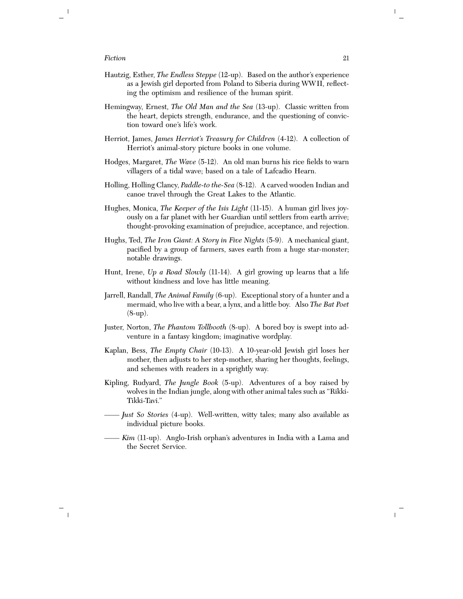- Hautzig, Esther, *The Endless Steppe* (12-up). Based on the author's experience as a Jewish girl deported from Poland to Siberia during WWII, reflecting the optimism and resilience of the human spirit.
- Hemingway, Ernest, *The Old Man and the Sea* (13-up). Classic written from the heart, depicts strength, endurance, and the questioning of conviction toward one's life's work.
- Herriot, James, *James Herriot's Treasury for Children* (4-12). A collection of Herriot's animal-story picture books in one volume.
- Hodges, Margaret, *The Wave* (5-12). An old man burns his rice fields to warn villagers of a tidal wave; based on a tale of Lafcadio Hearn.
- Holling, Holling Clancy, *Paddle-to the-Sea* (8-12). A carved wooden Indian and canoe travel through the Great Lakes to the Atlantic.
- Hughes, Monica, *The Keeper of the Isis Light* (11-15). A human girl lives joyously on a far planet with her Guardian until settlers from earth arrive; thought-provoking examination of prejudice, acceptance, and rejection.
- Hughs, Ted, *The Iron Giant: A Story in Five Nights* (5-9). A mechanical giant, pacified by a group of farmers, saves earth from a huge star-monster; notable drawings.
- Hunt, Irene, *Up a Road Slowly* (11-14). A girl growing up learns that a life without kindness and love has little meaning.
- Jarrell, Randall, *The Animal Family* (6-up). Exceptional story of a hunter and a mermaid, who live with a bear, a lynx, and a little boy. Also *The Bat Poet* (8-up).
- Juster, Norton, *The Phantom Tollbooth* (8-up). A bored boy is swept into adventure in a fantasy kingdom; imaginative wordplay.
- Kaplan, Bess, *The Empty Chair* (10-13). A 10-year-old Jewish girl loses her mother, then adjusts to her step-mother, sharing her thoughts, feelings, and schemes with readers in a sprightly way.
- Kipling, Rudyard, *The Jungle Book* (5-up). Adventures of a boy raised by wolves in the Indian jungle, along with other animal tales such as ''Rikki-Tikki-Tavi.''
- —— *Just So Stories* (4-up). Well-written, witty tales; many also available as individual picture books.
- —— *Kim* (11-up). Anglo-Irish orphan's adventures in India with a Lama and the Secret Service.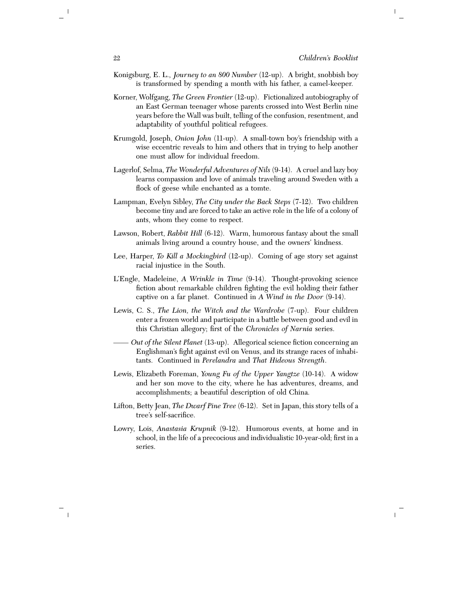- Konigsburg, E. L., *Journey to an 800 Number* (12-up). A bright, snobbish boy is transformed by spending a month with his father, a camel-keeper.
- Korner, Wolfgang, *The Green Frontier* (12-up). Fictionalized autobiography of an East German teenager whose parents crossed into West Berlin nine years before the Wall was built, telling of the confusion, resentment, and adaptability of youthful political refugees.
- Krumgold, Joseph, *Onion John* (11-up). A small-town boy's friendship with a wise eccentric reveals to him and others that in trying to help another one must allow for individual freedom.
- Lagerlof, Selma, *The Wonderful Adventures of Nils* (9-14). A cruel and lazy boy learns compassion and love of animals traveling around Sweden with a flock of geese while enchanted as a tomte.
- Lampman, Evelyn Sibley, *The City under the Back Steps* (7-12). Two children become tiny and are forced to take an active role in the life of a colony of ants, whom they come to respect.
- Lawson, Robert, *Rabbit Hill* (6-12). Warm, humorous fantasy about the small animals living around a country house, and the owners' kindness.
- Lee, Harper, *To Kill a Mockingbird* (12-up). Coming of age story set against racial injustice in the South.
- L'Engle, Madeleine, *A Wrinkle in Time* (9-14). Thought-provoking science fiction about remarkable children fighting the evil holding their father captive on a far planet. Continued in *A Wind in the Door* (9-14).
- Lewis, C. S., *The Lion, the Witch and the Wardrobe* (7-up). Four children enter a frozen world and participate in a battle between good and evil in this Christian allegory; first of the *Chronicles of Narnia* series.
- —— *Out of the Silent Planet* (13-up). Allegorical science fiction concerning an Englishman's fight against evil on Venus, and its strange races of inhabitants. Continued in *Perelandra* and *That Hideous Strength*.
- Lewis, Elizabeth Foreman, *Young Fu of the Upper Yangtze* (10-14). A widow and her son move to the city, where he has adventures, dreams, and accomplishments; a beautiful description of old China.
- Lifton, Betty Jean, *The Dwarf Pine Tree* (6-12). Set in Japan, this story tells of a tree's self-sacrifice.
- Lowry, Lois, *Anastasia Krupnik* (9-12). Humorous events, at home and in school, in the life of a precocious and individualistic 10-year-old; first in a series.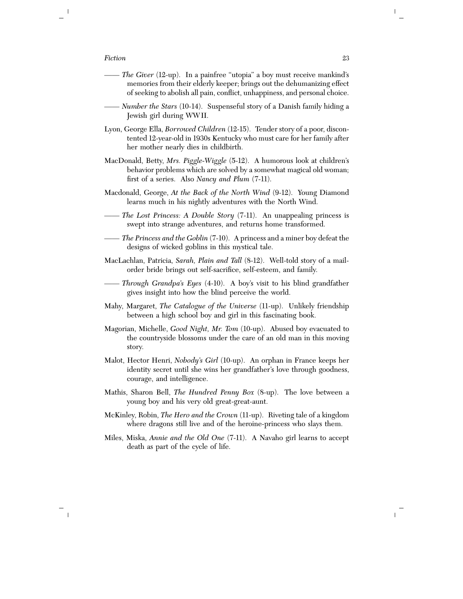- —— *The Giver* (12-up). In a painfree "utopia" a boy must receive mankind's memories from their elderly keeper; brings out the dehumanizing effect of seeking to abolish all pain, conflict, unhappiness, and personal choice.
- —— *Number the Stars* (10-14). Suspenseful story of a Danish family hiding a Jewish girl during WWII.
- Lyon, George Ella, *Borrowed Children* (12-15). Tender story of a poor, discontented 12-year-old in 1930s Kentucky who must care for her family after her mother nearly dies in childbirth.
- MacDonald, Betty, *Mrs. Piggle-Wiggle* (5-12). A humorous look at children's behavior problems which are solved by a somewhat magical old woman; first of a series. Also *Nancy and Plum* (7-11).
- Macdonald, George, *At the Back of the North Wind* (9-12). Young Diamond learns much in his nightly adventures with the North Wind.
- —— *The Lost Princess: A Double Story* (7-11). An unappealing princess is swept into strange adventures, and returns home transformed.
- —— *The Princess and the Goblin* (7-10). A princess and a miner boy defeat the designs of wicked goblins in this mystical tale.
- MacLachlan, Patricia, *Sarah, Plain and Tall* (8-12). Well-told story of a mailorder bride brings out self-sacrifice, self-esteem, and family.
- —— *Through Grandpa's Eyes* (4-10). A boy's visit to his blind grandfather gives insight into how the blind perceive the world.
- Mahy, Margaret, *The Catalogue of the Universe* (11-up). Unlikely friendship between a high school boy and girl in this fascinating book.
- Magorian, Michelle, *Good Night, Mr. Tom* (10-up). Abused boy evacuated to the countryside blossoms under the care of an old man in this moving story.
- Malot, Hector Henri, *Nobody's Girl* (10-up). An orphan in France keeps her identity secret until she wins her grandfather's love through goodness, courage, and intelligence.
- Mathis, Sharon Bell, *The Hundred Penny Box* (8-up). The love between a young boy and his very old great-great-aunt.
- McKinley, Robin, *The Hero and the Crown* (11-up). Riveting tale of a kingdom where dragons still live and of the heroine-princess who slays them.
- Miles, Miska, *Annie and the Old One* (7-11). A Navaho girl learns to accept death as part of the cycle of life.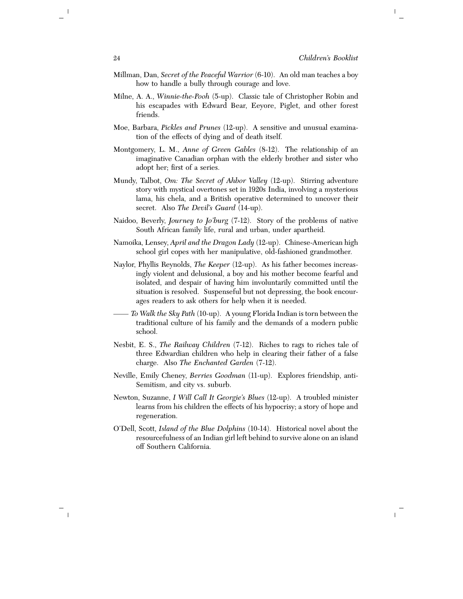- Millman, Dan, *Secret of the Peaceful Warrior* (6-10). An old man teaches a boy how to handle a bully through courage and love.
- Milne, A. A., *Winnie-the-Pooh* (5-up). Classic tale of Christopher Robin and his escapades with Edward Bear, Eeyore, Piglet, and other forest friends.
- Moe, Barbara, *Pickles and Prunes* (12-up). A sensitive and unusual examination of the effects of dying and of death itself.
- Montgomery, L. M., *Anne of Green Gables* (8-12). The relationship of an imaginative Canadian orphan with the elderly brother and sister who adopt her; first of a series.
- Mundy, Talbot, *Om: The Secret of Ahbor Valley* (12-up). Stirring adventure story with mystical overtones set in 1920s India, involving a mysterious lama, his chela, and a British operative determined to uncover their secret. Also *The Devil's Guard* (14-up).
- Naidoo, Beverly, *Journey to Jo'burg* (7-12). Story of the problems of native South African family life, rural and urban, under apartheid.
- Namoika, Lensey, *April and the Dragon Lady* (12-up). Chinese-American high school girl copes with her manipulative, old-fashioned grandmother.
- Naylor, Phyllis Reynolds, *The Keeper* (12-up). As his father becomes increasingly violent and delusional, a boy and his mother become fearful and isolated, and despair of having him involuntarily committed until the situation is resolved. Suspenseful but not depressing, the book encourages readers to ask others for help when it is needed.
- —— *To Walk the Sky Path* (10-up). A young Florida Indian is torn between the traditional culture of his family and the demands of a modern public school.
- Nesbit, E. S., *The Railway Children* (7-12). Riches to rags to riches tale of three Edwardian children who help in clearing their father of a false charge. Also *The Enchanted Garden* (7-12).
- Neville, Emily Cheney, *Berries Goodman* (11-up). Explores friendship, anti-Semitism, and city vs. suburb.
- Newton, Suzanne, *I Will Call It Georgie's Blues* (12-up). A troubled minister learns from his children the effects of his hypocrisy; a story of hope and regeneration.
- O'Dell, Scott, *Island of the Blue Dolphins* (10-14). Historical novel about the resourcefulness of an Indian girl left behind to survive alone on an island off Southern California.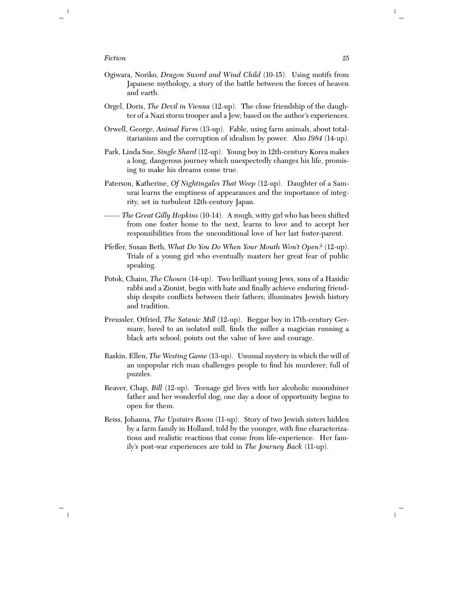- Ogiwara, Noriko, *Dragon Sword and Wind Child* (10-15). Using motifs from Japanese mythology, a story of the battle between the forces of heaven and earth.
- Orgel, Doris, *The Devil in Vienna* (12-up). The close friendship of the daughter of a Nazi storm trooper and a Jew; based on the author's experiences.
- Orwell, George, *Animal Farm* (13-up). Fable, using farm animals, about totalitarianism and the corruption of idealism by power. Also *1984* (14-up).
- Park, Linda Sue, *Single Shard* (12-up). Young boy in 12th-century Korea makes a long, dangerous journey which unexpectedly changes his life, promising to make his dreams come true.
- Paterson, Katherine, *Of Nightingales That Weep* (12-up). Daughter of a Samurai learns the emptiness of appearances and the importance of integrity, set in turbulent 12th-century Japan.
- —— *The Great Gilly Hopkins* (10-14). A rough, witty girl who has been shifted from one foster home to the next, learns to love and to accept her responsibilities from the unconditional love of her last foster-parent.
- Pfeffer, Susan Beth, *What Do You Do When Your Mouth Won't Open?* (12-up). Trials of a young girl who eventually masters her great fear of public speaking.
- Potok, Chaim, *The Chosen* (14-up). Two brilliant young Jews, sons of a Hasidic rabbi and a Zionist, begin with hate and finally achieve enduring friendship despite conflicts between their fathers; illuminates Jewish history and tradition.
- Preussler, Otfried, *The Satanic Mill* (12-up). Beggar boy in 17th-century Germany, lured to an isolated mill, finds the miller a magician running a black arts school; points out the value of love and courage.
- Raskin, Ellen, *The Westing Game* (13-up). Unusual mystery in which the will of an unpopular rich man challenges people to find his murderer; full of puzzles.
- Reaver, Chap, *Bill* (12-up). Teenage girl lives with her alcoholic moonshiner father and her wonderful dog; one day a door of opportunity begins to open for them.
- Reiss, Johanna, *The Upstairs Room* (11-up). Story of two Jewish sisters hidden by a farm family in Holland, told by the younger, with fine characterizations and realistic reactions that come from life-experience. Her family's post-war experiences are told in *The Journey Back* (11-up).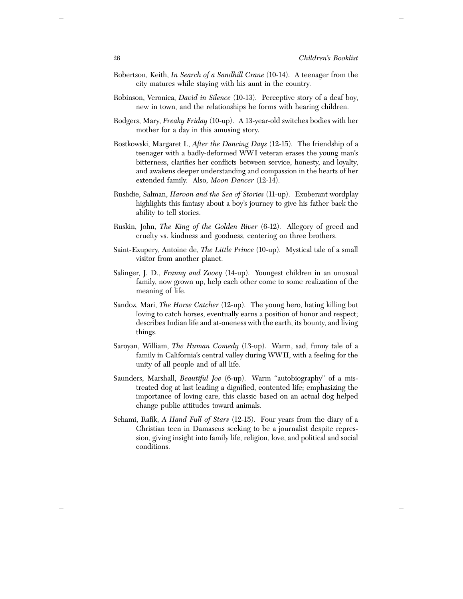- Robertson, Keith, *In Search of a Sandhill Crane* (10-14). A teenager from the city matures while staying with his aunt in the country.
- Robinson, Veronica, *David in Silence* (10-13). Perceptive story of a deaf boy, new in town, and the relationships he forms with hearing children.
- Rodgers, Mary, *Freaky Friday* (10-up). A 13-year-old switches bodies with her mother for a day in this amusing story.
- Rostkowski, Margaret I., *After the Dancing Days* (12-15). The friendship of a teenager with a badly-deformed WWI veteran erases the young man's bitterness, clarifies her conflicts between service, honesty, and loyalty, and awakens deeper understanding and compassion in the hearts of her extended family. Also, *Moon Dancer* (12-14).
- Rushdie, Salman, *Haroon and the Sea of Stories* (11-up). Exuberant wordplay highlights this fantasy about a boy's journey to give his father back the ability to tell stories.
- Ruskin, John, *The King of the Golden River* (6-12). Allegory of greed and cruelty vs. kindness and goodness, centering on three brothers.
- Saint-Exupery, Antoine de, *The Little Prince* (10-up). Mystical tale of a small visitor from another planet.
- Salinger, J. D., *Franny and Zooey* (14-up). Youngest children in an unusual family, now grown up, help each other come to some realization of the meaning of life.
- Sandoz, Mari, *The Horse Catcher* (12-up). The young hero, hating killing but loving to catch horses, eventually earns a position of honor and respect; describes Indian life and at-oneness with the earth, its bounty, and living things.
- Saroyan, William, *The Human Comedy* (13-up). Warm, sad, funny tale of a family in California's central valley during WWII, with a feeling for the unity of all people and of all life.
- Saunders, Marshall, *Beautiful Joe* (6-up). Warm "autobiography" of a mistreated dog at last leading a dignified, contented life; emphasizing the importance of loving care, this classic based on an actual dog helped change public attitudes toward animals.
- Schami, Rafik, *A Hand Full of Stars* (12-15). Four years from the diary of a Christian teen in Damascus seeking to be a journalist despite repression, giving insight into family life, religion, love, and political and social conditions.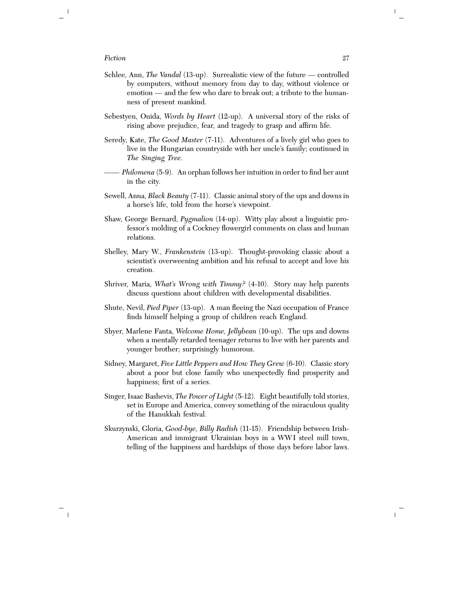- Schlee, Ann, *The Vandal* (13-up). Surrealistic view of the future controlled by computers, without memory from day to day, without violence or emotion — and the few who dare to break out; a tribute to the humanness of present mankind.
- Sebestyen, Ouida, *Words by Heart* (12-up). A universal story of the risks of rising above prejudice, fear, and tragedy to grasp and affirm life.
- Seredy, Kate, *The Good Master* (7-11). Adventures of a lively girl who goes to live in the Hungarian countryside with her uncle's family; continued in *The Singing Tree*.
- —— *Philomena* (5-9). An orphan follows her intuition in order to find her aunt in the city.
- Sewell, Anna, *Black Beauty* (7-11). Classic animal story of the ups and downs in a horse's life, told from the horse's viewpoint.
- Shaw, George Bernard, *Pygmalion* (14-up). Witty play about a linguistic professor's molding of a Cockney flowergirl comments on class and human relations.
- Shelley, Mary W., *Frankenstein* (13-up). Thought-provoking classic about a scientist's overweening ambition and his refusal to accept and love his creation.
- Shriver, Maria, *What's Wrong with Timmy?* (4-10). Story may help parents discuss questions about children with developmental disabilities.
- Shute, Nevil, *Pied Piper* (13-up). A man fleeing the Nazi occupation of France finds himself helping a group of children reach England.
- Shyer, Marlene Fanta, *Welcome Home, Jellybean* (10-up). The ups and downs when a mentally retarded teenager returns to live with her parents and younger brother; surprisingly humorous.
- Sidney, Margaret, *Five Little Peppers and How They Grew* (6-10). Classic story about a poor but close family who unexpectedly find prosperity and happiness; first of a series.
- Singer, Isaac Bashevis, *The Power of Light* (5-12). Eight beautifully told stories, set in Europe and America, convey something of the miraculous quality of the Hanukkah festival.
- Skurzynski, Gloria, *Good-bye, Billy Radish* (11-15). Friendship between Irish-American and immigrant Ukrainian boys in a WWI steel mill town, telling of the happiness and hardships of those days before labor laws.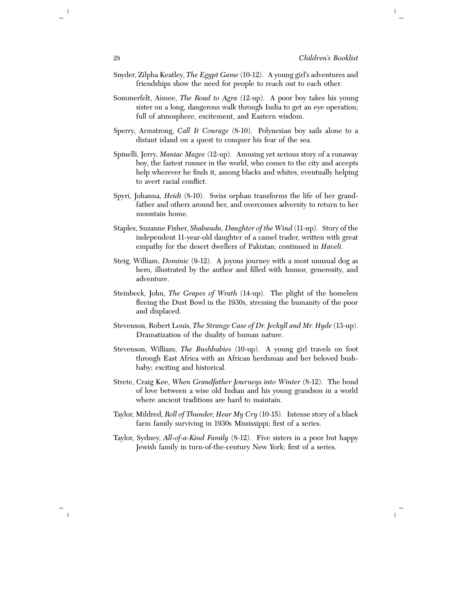- Snyder, Zilpha Keatley, *The Egypt Game* (10-12). A young girl's adventures and friendships show the need for people to reach out to each other.
- Sommerfelt, Aimee, *The Road to Agra* (12-up). A poor boy takes his young sister on a long, dangerous walk through India to get an eye operation; full of atmosphere, excitement, and Eastern wisdom.
- Sperry, Armstrong, *Call It Courage* (8-10). Polynesian boy sails alone to a distant island on a quest to conquer his fear of the sea.
- Spinelli, Jerry, *Maniac Magee* (12-up). Amusing yet serious story of a runaway boy, the fastest runner in the world, who comes to the city and accepts help wherever he finds it, among blacks and whites, eventually helping to avert racial conflict.
- Spyri, Johanna, *Heidi* (8-10). Swiss orphan transforms the life of her grandfather and others around her, and overcomes adversity to return to her mountain home.
- Staples, Suzanne Fisher, *Shabandu, Daughter of the Wind* (11-up). Story of the independent 11-year-old daughter of a camel trader, written with great empathy for the desert dwellers of Pakistan; continued in *Haveli*.
- Steig, William, *Dominic* (9-12). A joyous journey with a most unusual dog as hero, illustrated by the author and filled with humor, generosity, and adventure.
- Steinbeck, John, *The Grapes of Wrath* (14-up). The plight of the homeless fleeing the Dust Bowl in the 1930s, stressing the humanity of the poor and displaced.
- Stevenson, Robert Louis, *The Strange Case of Dr. Jeckyll and Mr. Hyde* (13-up). Dramatization of the duality of human nature.
- Stevenson, William, *The Bushbabies* (10-up). A young girl travels on foot through East Africa with an African herdsman and her beloved bushbaby; exciting and historical.
- Strete, Craig Kee, *When Grandfather Journeys into Winter* (8-12). The bond of love between a wise old Indian and his young grandson in a world where ancient traditions are hard to maintain.
- Taylor, Mildred, *Roll of Thunder, Hear My Cry* (10-15). Intense story of a black farm family surviving in 1930s Mississippi; first of a series.
- Taylor, Sydney, *All-of-a-Kind Family* (8-12). Five sisters in a poor but happy Jewish family in turn-of-the-century New York; first of a series.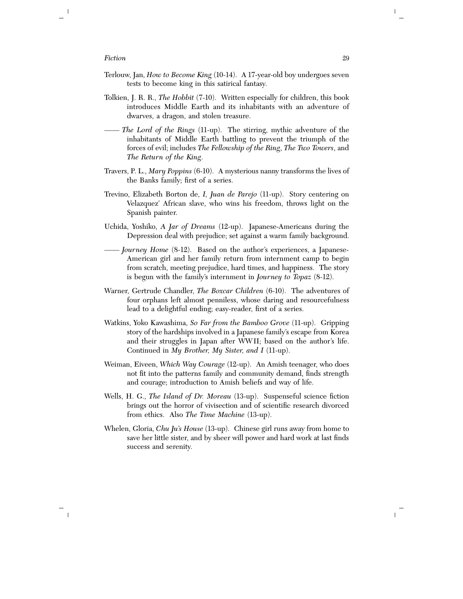- Terlouw, Jan, *How to Become King* (10-14). A 17-year-old boy undergoes seven tests to become king in this satirical fantasy.
- Tolkien, J. R. R., *The Hobbit* (7-10). Written especially for children, this book introduces Middle Earth and its inhabitants with an adventure of dwarves, a dragon, and stolen treasure.
- —— *The Lord of the Rings* (11-up). The stirring, mythic adventure of the inhabitants of Middle Earth battling to prevent the triumph of the forces of evil; includes *The Fellowship of the Ring*, *The Two Towers*, and *The Return of the King*.
- Travers, P. L., *Mary Poppins* (6-10). A mysterious nanny transforms the lives of the Banks family; first of a series.
- Trevino, Elizabeth Borton de, *I, Juan de Parejo* (11-up). Story centering on Velazquez' African slave, who wins his freedom, throws light on the Spanish painter.
- Uchida, Yoshiko, *A Jar of Dreams* (12-up). Japanese-Americans during the Depression deal with prejudice; set against a warm family background.
- —— *Journey Home* (8-12). Based on the author's experiences, a Japanese-American girl and her family return from internment camp to begin from scratch, meeting prejudice, hard times, and happiness. The story is begun with the family's internment in *Journey to Topaz* (8-12).
- Warner, Gertrude Chandler, *The Boxcar Children* (6-10). The adventures of four orphans left almost penniless, whose daring and resourcefulness lead to a delightful ending; easy-reader, first of a series.
- Watkins, Yoko Kawashima, *So Far from the Bamboo Grove* (11-up). Gripping story of the hardships involved in a Japanese family's escape from Korea and their struggles in Japan after WWII; based on the author's life. Continued in *My Brother, My Sister, and I* (11-up).
- Weiman, Eiveen, *Which Way Courage* (12-up). An Amish teenager, who does not fit into the patterns family and community demand, finds strength and courage; introduction to Amish beliefs and way of life.
- Wells, H. G., *The Island of Dr. Moreau* (13-up). Suspenseful science fiction brings out the horror of vivisection and of scientific research divorced from ethics. Also *The Time Machine* (13-up).
- Whelen, Gloria, *Chu Ju's House* (13-up). Chinese girl runs away from home to save her little sister, and by sheer will power and hard work at last finds success and serenity.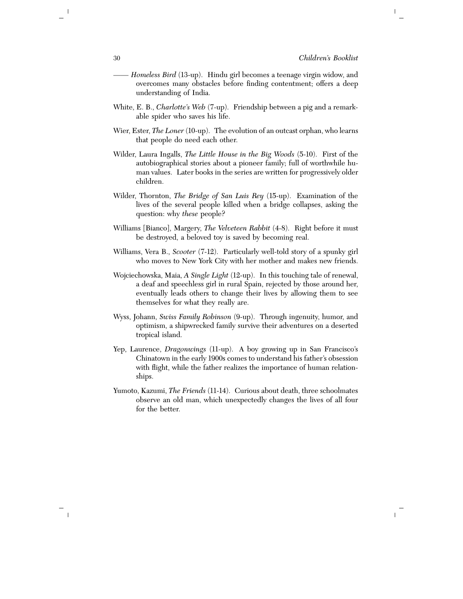- —— *Homeless Bird* (13-up). Hindu girl becomes a teenage virgin widow, and overcomes many obstacles before finding contentment; offers a deep understanding of India.
- White, E. B., *Charlotte's Web* (7-up). Friendship between a pig and a remarkable spider who saves his life.
- Wier, Ester, *The Loner* (10-up). The evolution of an outcast orphan, who learns that people do need each other.
- Wilder, Laura Ingalls, *The Little House in the Big Woods* (5-10). First of the autobiographical stories about a pioneer family; full of worthwhile human values. Later books in the series are written for progressively older children.
- Wilder, Thornton, *The Bridge of San Luis Rey* (15-up). Examination of the lives of the several people killed when a bridge collapses, asking the question: why *these* people?
- Williams [Bianco], Margery, *The Velveteen Rabbit* (4-8). Right before it must be destroyed, a beloved toy is saved by becoming real.
- Williams, Vera B., *Scooter* (7-12). Particularly well-told story of a spunky girl who moves to New York City with her mother and makes new friends.
- Wojciechowska, Maia, *A Single Light* (12-up). In this touching tale of renewal, a deaf and speechless girl in rural Spain, rejected by those around her, eventually leads others to change their lives by allowing them to see themselves for what they really are.
- Wyss, Johann, *Swiss Family Robinson* (9-up). Through ingenuity, humor, and optimism, a shipwrecked family survive their adventures on a deserted tropical island.
- Yep, Laurence, *Dragonwings* (11-up). A boy growing up in San Francisco's Chinatown in the early 1900s comes to understand his father's obsession with flight, while the father realizes the importance of human relationships.
- Yumoto, Kazumi, *The Friends* (11-14). Curious about death, three schoolmates observe an old man, which unexpectedly changes the lives of all four for the better.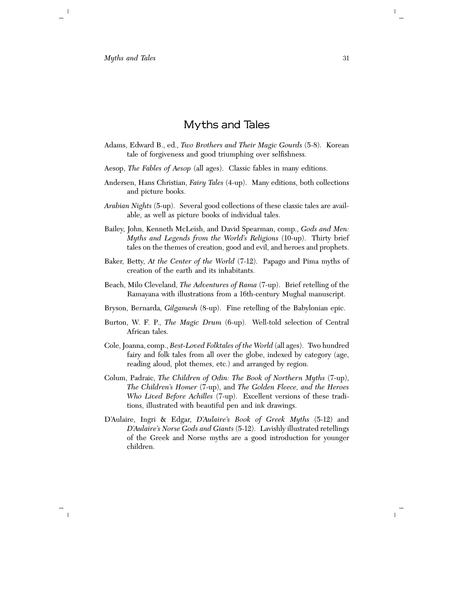#### Myths and Tales

- <span id="page-32-0"></span>Adams, Edward B., ed., *Two Brothers and Their Magic Gourds* (5-8). Korean tale of forgiveness and good triumphing over selfishness.
- Aesop, *The Fables of Aesop* (all ages). Classic fables in many editions.
- Andersen, Hans Christian, *Fairy Tales* (4-up). Many editions, both collections and picture books.
- *Arabian Nights* (5-up). Several good collections of these classic tales are available, as well as picture books of individual tales.
- Bailey, John, Kenneth McLeish, and David Spearman, comp., *Gods and Men: Myths and Legends from the World's Religions* (10-up). Thirty brief tales on the themes of creation, good and evil, and heroes and prophets.
- Baker, Betty, *At the Center of the World* (7-12). Papago and Pima myths of creation of the earth and its inhabitants.
- Beach, Milo Cleveland, *The Adventures of Rama* (7-up). Brief retelling of the Ramayana with illustrations from a 16th-century Mughal manuscript.
- Bryson, Bernarda, *Gilgamesh* (8-up). Fine retelling of the Babylonian epic.
- Burton, W. F. P., *The Magic Drum* (6-up). Well-told selection of Central African tales.
- Cole, Joanna, comp., *Best-Loved Folktales of the World* (all ages). Two hundred fairy and folk tales from all over the globe, indexed by category (age, reading aloud, plot themes, etc.) and arranged by region.
- Colum, Padraic, *The Children of Odin: The Book of Northern Myths* (7-up), *The Children's Homer* (7-up), and *The Golden Fleece, and the Heroes Who Lived Before Achilles* (7-up). Excellent versions of these traditions, illustrated with beautiful pen and ink drawings.
- D'Aulaire, Ingri & Edgar, *D'Aulaire's Book of Greek Myths* (5-12) and *D'Aulaire's Norse Gods and Giants* (5-12). Lavishly illustrated retellings of the Greek and Norse myths are a good introduction for younger children.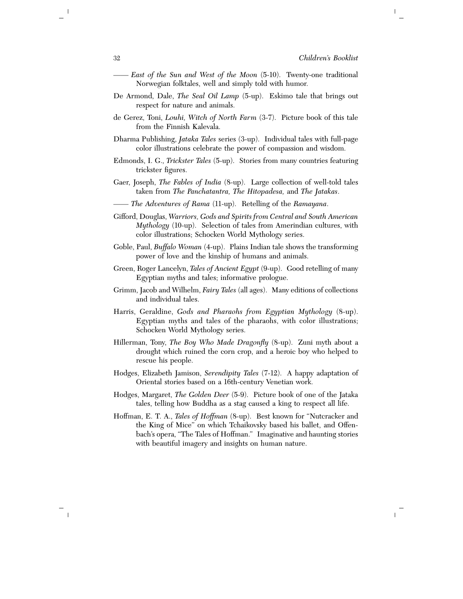- —— *East of the Sun and West of the Moon* (5-10). Twenty-one traditional Norwegian folktales, well and simply told with humor.
- De Armond, Dale, *The Seal Oil Lamp* (5-up). Eskimo tale that brings out respect for nature and animals.
- de Gerez, Toni, *Louhi, Witch of North Farm* (3-7). Picture book of this tale from the Finnish Kalevala.
- Dharma Publishing, *Jataka Tales* series (3-up). Individual tales with full-page color illustrations celebrate the power of compassion and wisdom.
- Edmonds, I. G., *Trickster Tales* (5-up). Stories from many countries featuring trickster figures.
- Gaer, Joseph, *The Fables of India* (8-up). Large collection of well-told tales taken from *The Panchatantra, The Hitopadesa,* and *The Jatakas*.
- —— *The Adventures of Rama* (11-up). Retelling of the *Ramayana*.
- Gifford, Douglas, *Warriors, Gods and Spirits from Central and South American Mythology* (10-up). Selection of tales from Amerindian cultures, with color illustrations; Schocken World Mythology series.
- Goble, Paul, *Buffalo Woman* (4-up). Plains Indian tale shows the transforming power of love and the kinship of humans and animals.
- Green, Roger Lancelyn, *Tales of Ancient Egypt* (9-up). Good retelling of many Egyptian myths and tales; informative prologue.
- Grimm, Jacob and Wilhelm, *Fairy Tales* (all ages). Many editions of collections and individual tales.
- Harris, Geraldine, *Gods and Pharaohs from Egyptian Mythology* (8-up). Egyptian myths and tales of the pharaohs, with color illustrations; Schocken World Mythology series.
- Hillerman, Tony, *The Boy Who Made Dragonfly* (8-up). Zuni myth about a drought which ruined the corn crop, and a heroic boy who helped to rescue his people.
- Hodges, Elizabeth Jamison, *Serendipity Tales* (7-12). A happy adaptation of Oriental stories based on a 16th-century Venetian work.
- Hodges, Margaret, *The Golden Deer* (5-9). Picture book of one of the Jataka tales, telling how Buddha as a stag caused a king to respect all life.
- Hoffman, E. T. A., *Tales of Hoffman* (8-up). Best known for ''Nutcracker and the King of Mice'' on which Tchaikovsky based his ballet, and Offenbach's opera, "The Tales of Hoffman." Imaginative and haunting stories with beautiful imagery and insights on human nature.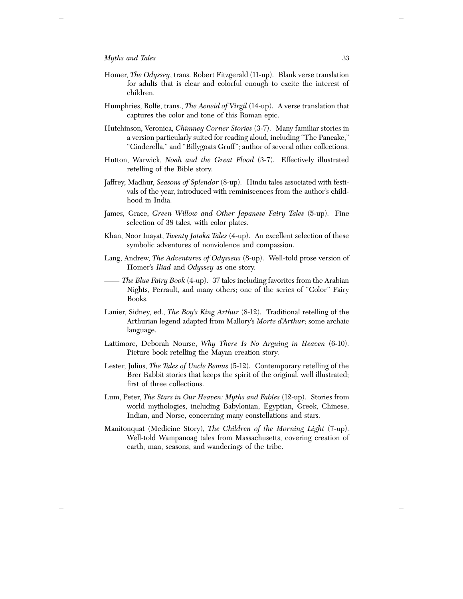- Homer, *The Odyssey*, trans. Robert Fitzgerald (11-up). Blank verse translation for adults that is clear and colorful enough to excite the interest of children.
- Humphries, Rolfe, trans., *The Aeneid of Virgil* (14-up). A verse translation that captures the color and tone of this Roman epic.
- Hutchinson, Veronica, *Chimney Corner Stories* (3-7). Many familiar stories in a version particularly suited for reading aloud, including ''The Pancake,'' ''Cinderella,'' and ''Billygoats Gruff''; author of several other collections.
- Hutton, Warwick, *Noah and the Great Flood* (3-7). Effectively illustrated retelling of the Bible story.
- Jaffrey, Madhur, *Seasons of Splendor* (8-up). Hindu tales associated with festivals of the year, introduced with reminiscences from the author's childhood in India.
- James, Grace, *Green Willow and Other Japanese Fairy Tales* (5-up). Fine selection of 38 tales, with color plates.
- Khan, Noor Inayat, *Twenty Jataka Tales* (4-up). An excellent selection of these symbolic adventures of nonviolence and compassion.
- Lang, Andrew, *The Adventures of Odysseus* (8-up). Well-told prose version of Homer's *Iliad* and *Odyssey* as one story.
- —— *The Blue Fairy Book* (4-up). 37 tales including favorites from the Arabian Nights, Perrault, and many others; one of the series of "Color" Fairy Books.
- Lanier, Sidney, ed., *The Boy's King Arthur* (8-12). Traditional retelling of the Arthurian legend adapted from Mallory's *Morte d'Arthur*; some archaic language.
- Lattimore, Deborah Nourse, *Why There Is No Arguing in Heaven* (6-10). Picture book retelling the Mayan creation story.
- Lester, Julius, *The Tales of Uncle Remus* (5-12). Contemporary retelling of the Brer Rabbit stories that keeps the spirit of the original, well illustrated; first of three collections.
- Lum, Peter, *The Stars in Our Heaven: Myths and Fables* (12-up). Stories from world mythologies, including Babylonian, Egyptian, Greek, Chinese, Indian, and Norse, concerning many constellations and stars.
- Manitonquat (Medicine Story), *The Children of the Morning Light* (7-up). Well-told Wampanoag tales from Massachusetts, covering creation of earth, man, seasons, and wanderings of the tribe.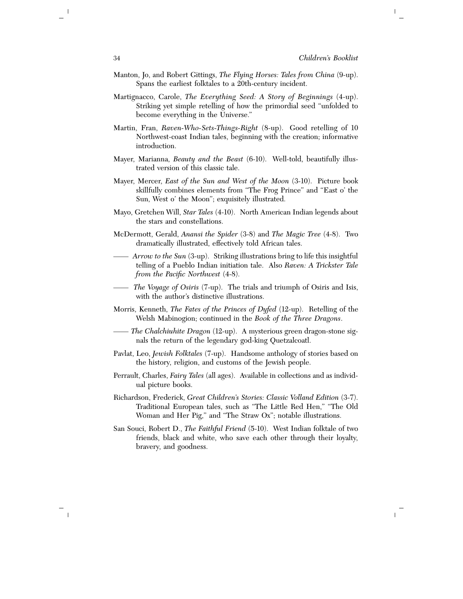- Manton, Jo, and Robert Gittings, *The Flying Horses: Tales from China* (9-up). Spans the earliest folktales to a 20th-century incident.
- Martignacco, Carole, *The Everything Seed: A Story of Beginnings* (4-up). Striking yet simple retelling of how the primordial seed ''unfolded to become everything in the Universe.''
- Martin, Fran, *Raven-Who-Sets-Things-Right* (8-up). Good retelling of 10 Northwest-coast Indian tales, beginning with the creation; informative introduction.
- Mayer, Marianna, *Beauty and the Beast* (6-10). Well-told, beautifully illustrated version of this classic tale.
- Mayer, Mercer, *East of the Sun and West of the Moon* (3-10). Picture book skillfully combines elements from ''The Frog Prince'' and ''East o' the Sun, West o' the Moon''; exquisitely illustrated.
- Mayo, Gretchen Will, *Star Tales* (4-10). North American Indian legends about the stars and constellations.
- McDermott, Gerald, *Anansi the Spider* (3-8) and *The Magic Tree* (4-8). Two dramatically illustrated, effectively told African tales.
- —— *Arrow to the Sun* (3-up). Striking illustrations bring to life this insightful telling of a Pueblo Indian initiation tale. Also *Raven: A Trickster Tale from the Pacific Northwest* (4-8).
- —— *The Voyage of Osiris* (7-up). The trials and triumph of Osiris and Isis, with the author's distinctive illustrations.
- Morris, Kenneth, *The Fates of the Princes of Dyfed* (12-up). Retelling of the Welsh Mabinogion; continued in the *Book of the Three Dragons*.
- —— *The Chalchiuhite Dragon* (12-up). A mysterious green dragon-stone signals the return of the legendary god-king Quetzalcoatl.
- Pavlat, Leo, *Jewish Folktales* (7-up). Handsome anthology of stories based on the history, religion, and customs of the Jewish people.
- Perrault, Charles, *Fairy Tales* (all ages). Available in collections and as individual picture books.
- Richardson, Frederick, *Great Children's Stories: Classic Volland Edition* (3-7). Traditional European tales, such as ''The Little Red Hen,'' ''The Old Woman and Her Pig," and "The Straw Ox"; notable illustrations.
- San Souci, Robert D., *The Faithful Friend* (5-10). West Indian folktale of two friends, black and white, who save each other through their loyalty, bravery, and goodness.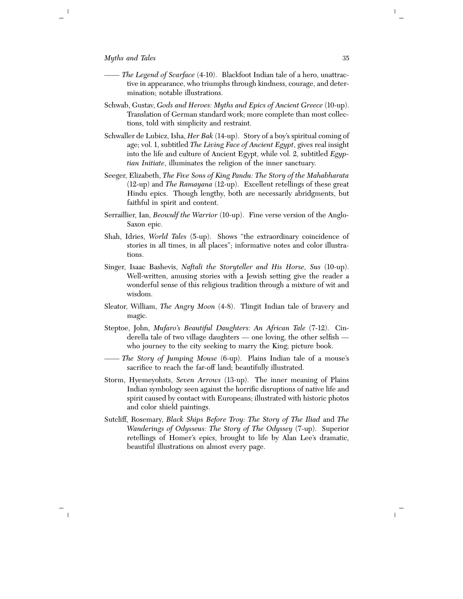- —— *The Legend of Scarface* (4-10). Blackfoot Indian tale of a hero, unattractive in appearance, who triumphs through kindness, courage, and determination; notable illustrations.
- Schwab, Gustav, *Gods and Heroes: Myths and Epics of Ancient Greece* (10-up). Translation of German standard work; more complete than most collections, told with simplicity and restraint.
- Schwaller de Lubicz, Isha, *Her Bak* (14-up). Story of a boy's spiritual coming of age; vol. 1, subtitled *The Living Face of Ancient Egypt*, gives real insight into the life and culture of Ancient Egypt, while vol. 2, subtitled *Egyptian Initiate*, illuminates the religion of the inner sanctuary.
- Seeger, Elizabeth, *The Five Sons of King Pandu: The Story of the Mahabharata* (12-up) and *The Ramayana* (12-up). Excellent retellings of these great Hindu epics. Though lengthy, both are necessarily abridgments, but faithful in spirit and content.
- Serraillier, Ian, *Beowulf the Warrior* (10-up). Fine verse version of the Anglo-Saxon epic.
- Shah, Idries, *World Tales* (5-up). Shows ''the extraordinary coincidence of stories in all times, in all places''; informative notes and color illustrations.
- Singer, Isaac Bashevis, *Naftali the Storyteller and His Horse, Sus* (10-up). Well-written, amusing stories with a Jewish setting give the reader a wonderful sense of this religious tradition through a mixture of wit and wisdom.
- Sleator, William, *The Angry Moon* (4-8). Tlingit Indian tale of bravery and magic.
- Steptoe, John, *Mufaro's Beautiful Daughters: An African Tale* (7-12). Cinderella tale of two village daughters — one loving, the other selfish who journey to the city seeking to marry the King; picture book.
- —— *The Story of Jumping Mouse* (6-up). Plains Indian tale of a mouse's sacrifice to reach the far-off land; beautifully illustrated.
- Storm, Hyemeyohsts, *Seven Arrows* (13-up). The inner meaning of Plains Indian symbology seen against the horrific disruptions of native life and spirit caused by contact with Europeans; illustrated with historic photos and color shield paintings.
- Sutcliff, Rosemary, *Black Ships Before Troy: The Story of The Iliad* and *The Wanderings of Odysseus: The Story of The Odyssey* (7-up). Superior retellings of Homer's epics, brought to life by Alan Lee's dramatic, beautiful illustrations on almost every page.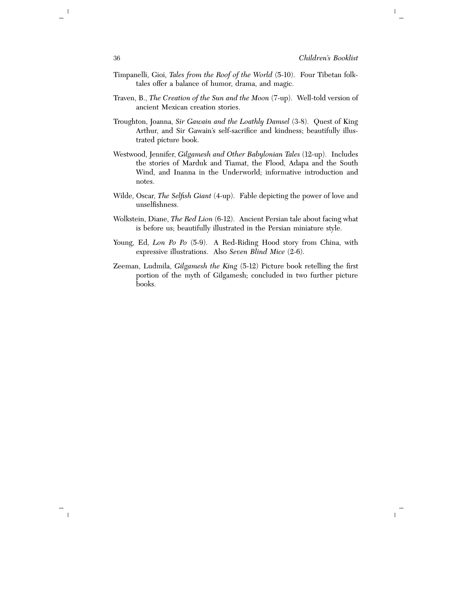- Timpanelli, Gioi, *Tales from the Roof of the World* (5-10). Four Tibetan folktales offer a balance of humor, drama, and magic.
- Traven, B., *The Creation of the Sun and the Moon* (7-up). Well-told version of ancient Mexican creation stories.
- Troughton, Joanna, *Sir Gawain and the Loathly Damsel* (3-8). Quest of King Arthur, and Sir Gawain's self-sacrifice and kindness; beautifully illustrated picture book.
- Westwood, Jennifer, *Gilgamesh and Other Babylonian Tales* (12-up). Includes the stories of Marduk and Tiamat, the Flood, Adapa and the South Wind, and Inanna in the Underworld; informative introduction and notes.
- Wilde, Oscar, *The Selfish Giant* (4-up). Fable depicting the power of love and unselfishness.
- Wolkstein, Diane, *The Red Lion* (6-12). Ancient Persian tale about facing what is before us; beautifully illustrated in the Persian miniature style.
- Young, Ed, *Lon Po Po* (5-9). A Red-Riding Hood story from China, with expressive illustrations. Also *Seven Blind Mice* (2-6).
- Zeeman, Ludmila, *Gilgamesh the King* (5-12) Picture book retelling the first portion of the myth of Gilgamesh; concluded in two further picture books.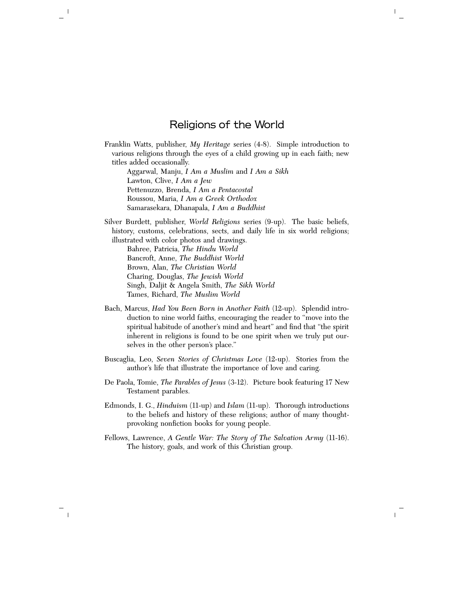#### Religions of the World

<span id="page-38-0"></span>Franklin Watts, publisher, *My Heritage* series (4-8). Simple introduction to various religions through the eyes of a child growing up in each faith; new titles added occasionally.

Aggarwal, Manju, *I Am a Muslim* and *I Am a Sikh* Lawton, Clive, *I Am a Jew* Pettenuzzo, Brenda, *I Am a Pentacostal* Roussou, Maria, *I Am a Greek Orthodox*  Samarasekara, Dhanapala, *I Am a Buddhist*

Silver Burdett, publisher, *World Religions* series (9-up). The basic beliefs, history, customs, celebrations, sects, and daily life in six world religions; illustrated with color photos and drawings.

Bahree, Patricia, *The Hindu World* Bancroft, Anne, *The Buddhist World* Brown, Alan, *The Christian World* Charing, Douglas, *The Jewish World* Singh, Daljit & Angela Smith, *The Sikh World* Tames, Richard, *The Muslim World*

- Bach, Marcus, *Had You Been Born in Another Faith* (12-up). Splendid introduction to nine world faiths, encouraging the reader to ''move into the spiritual habitude of another's mind and heart'' and find that ''the spirit inherent in religions is found to be one spirit when we truly put ourselves in the other person's place.''
- Buscaglia, Leo, *Seven Stories of Christmas Love* (12-up). Stories from the author's life that illustrate the importance of love and caring.
- De Paola, Tomie, *The Parables of Jesus* (3-12). Picture book featuring 17 New Testament parables.
- Edmonds, I. G., *Hinduism* (11-up) and *Islam* (11-up). Thorough introductions to the beliefs and history of these religions; author of many thoughtprovoking nonfiction books for young people.
- Fellows, Lawrence, *A Gentle War: The Story of The Salvation Army* (11-16). The history, goals, and work of this Christian group.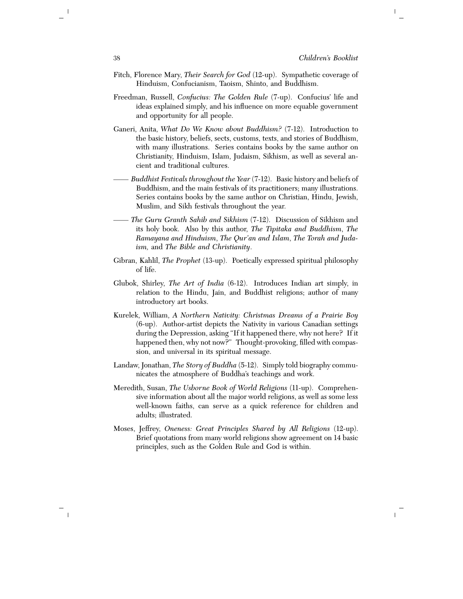- Fitch, Florence Mary, *Their Search for God* (12-up). Sympathetic coverage of Hinduism, Confucianism, Taoism, Shinto, and Buddhism.
- Freedman, Russell, *Confucius: The Golden Rule* (7-up). Confucius' life and ideas explained simply, and his influence on more equable government and opportunity for all people.
- Ganeri, Anita, *What Do We Know about Buddhism?* (7-12). Introduction to the basic history, beliefs, sects, customs, texts, and stories of Buddhism, with many illustrations. Series contains books by the same author on Christianity, Hinduism, Islam, Judaism, Sikhism, as well as several ancient and traditional cultures.
- —— *Buddhist Festivals throughout the Year* (7-12). Basic history and beliefs of Buddhism, and the main festivals of its practitioners; many illustrations. Series contains books by the same author on Christian, Hindu, Jewish, Muslim, and Sikh festivals throughout the year.
- —— *The Guru Granth Sahib and Sikhism* (7-12). Discussion of Sikhism and its holy book. Also by this author, *The Tipitaka and Buddhism*, *The Ramayana and Hinduism*, *The Qur'an and Islam*, *The Torah and Judaism,* and *The Bible and Christianity*.
- Gibran, Kahlil, *The Prophet* (13-up). Poetically expressed spiritual philosophy of life.
- Glubok, Shirley, *The Art of India* (6-12). Introduces Indian art simply, in relation to the Hindu, Jain, and Buddhist religions; author of many introductory art books.
- Kurelek, William, *A Northern Nativity: Christmas Dreams of a Prairie Boy* (6-up). Author-artist depicts the Nativity in various Canadian settings during the Depression, asking "If it happened there, why not here? If it happened then, why not now?" Thought-provoking, filled with compassion, and universal in its spiritual message.
- Landaw, Jonathan, *The Story of Buddha* (5-12). Simply told biography communicates the atmosphere of Buddha's teachings and work.
- Meredith, Susan, *The Usborne Book of World Religions* (11-up). Comprehensive information about all the major world religions, as well as some less well-known faiths, can serve as a quick reference for children and adults; illustrated.
- Moses, Jeffrey, *Oneness: Great Principles Shared by All Religions* (12-up). Brief quotations from many world religions show agreement on 14 basic principles, such as the Golden Rule and God is within.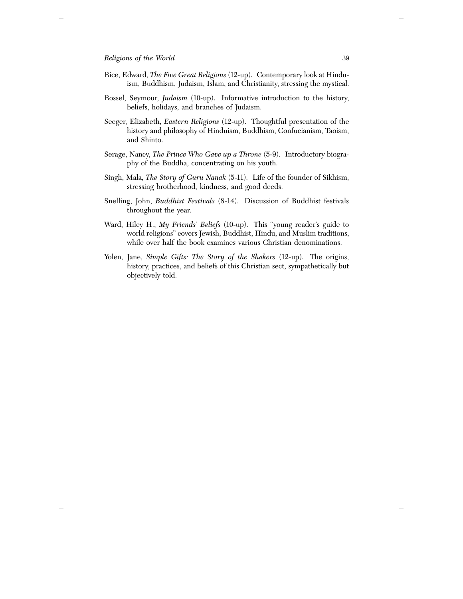- Rice, Edward, *The Five Great Religions* (12-up). Contemporary look at Hinduism, Buddhism, Judaism, Islam, and Christianity, stressing the mystical.
- Rossel, Seymour, *Judaism* (10-up). Informative introduction to the history, beliefs, holidays, and branches of Judaism.
- Seeger, Elizabeth, *Eastern Religions* (12-up). Thoughtful presentation of the history and philosophy of Hinduism, Buddhism, Confucianism, Taoism, and Shinto.
- Serage, Nancy, *The Prince Who Gave up a Throne* (5-9). Introductory biography of the Buddha, concentrating on his youth.
- Singh, Mala, *The Story of Guru Nanak* (5-11). Life of the founder of Sikhism, stressing brotherhood, kindness, and good deeds.
- Snelling, John, *Buddhist Festivals* (8-14). Discussion of Buddhist festivals throughout the year.
- Ward, Hiley H., My Friends' Beliefs (10-up). This "young reader's guide to world religions'' covers Jewish, Buddhist, Hindu, and Muslim traditions, while over half the book examines various Christian denominations.
- Yolen, Jane, *Simple Gifts: The Story of the Shakers* (12-up). The origins, history, practices, and beliefs of this Christian sect, sympathetically but objectively told.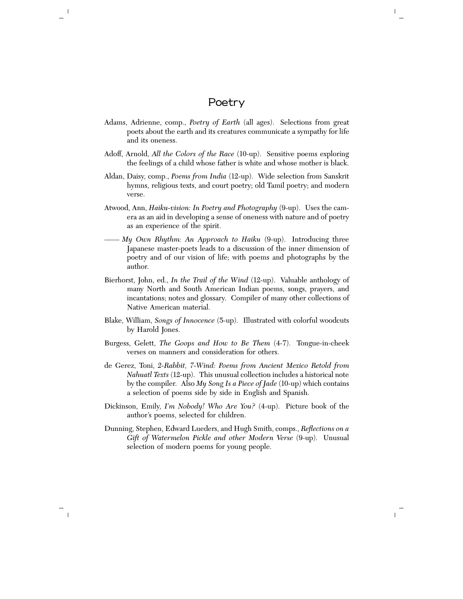#### Poetry

- <span id="page-42-0"></span>Adams, Adrienne, comp., *Poetry of Earth* (all ages). Selections from great poets about the earth and its creatures communicate a sympathy for life and its oneness.
- Adoff, Arnold, *All the Colors of the Race* (10-up). Sensitive poems exploring the feelings of a child whose father is white and whose mother is black.
- Aldan, Daisy, comp., *Poems from India* (12-up). Wide selection from Sanskrit hymns, religious texts, and court poetry; old Tamil poetry; and modern verse.
- Atwood, Ann, *Haiku-vision: In Poetry and Photography* (9-up). Uses the camera as an aid in developing a sense of oneness with nature and of poetry as an experience of the spirit.
- —— *My Own Rhythm: An Approach to Haiku* (9-up). Introducing three Japanese master-poets leads to a discussion of the inner dimension of poetry and of our vision of life; with poems and photographs by the author.
- Bierhorst, John, ed., *In the Trail of the Wind* (12-up). Valuable anthology of many North and South American Indian poems, songs, prayers, and incantations; notes and glossary. Compiler of many other collections of Native American material.
- Blake, William, *Songs of Innocence* (5-up). Illustrated with colorful woodcuts by Harold Jones.
- Burgess, Gelett, *The Goops and How to Be Them* (4-7). Tongue-in-cheek verses on manners and consideration for others.
- de Gerez, Toni, *2-Rabbit, 7-Wind: Poems from Ancient Mexico Retold from Nahuatl Texts* (12-up). This unusual collection includes a historical note by the compiler. Also *My Song Is a Piece of Jade* (10-up) which contains a selection of poems side by side in English and Spanish.
- Dickinson, Emily, *I'm Nobody! Who Are You?* (4-up). Picture book of the author's poems, selected for children.
- Dunning, Stephen, Edward Lueders, and Hugh Smith, comps., *Reflections on a Gift of Watermelon Pickle and other Modern Verse* (9-up). Unusual selection of modern poems for young people.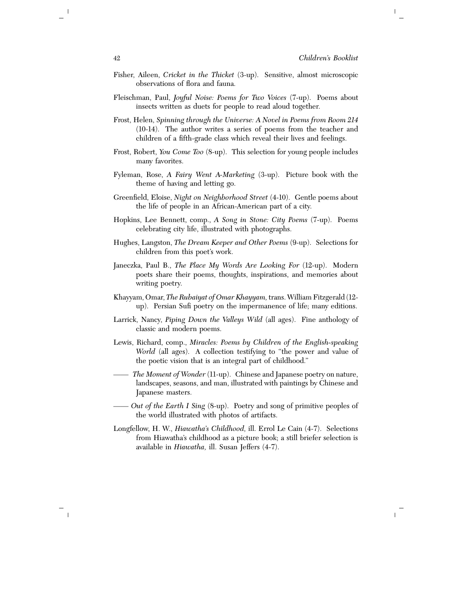- Fisher, Aileen, *Cricket in the Thicket* (3-up). Sensitive, almost microscopic observations of flora and fauna.
- Fleischman, Paul, *Joyful Noise: Poems for Two Voices* (7-up). Poems about insects written as duets for people to read aloud together.
- Frost, Helen, *Spinning through the Universe: A Novel in Poems from Room 214* (10-14). The author writes a series of poems from the teacher and children of a fifth-grade class which reveal their lives and feelings.
- Frost, Robert, *You Come Too* (8-up). This selection for young people includes many favorites.
- Fyleman, Rose, *A Fairy Went A-Marketing* (3-up). Picture book with the theme of having and letting go.
- Greenfield, Eloise, *Night on Neighborhood Street* (4-10). Gentle poems about the life of people in an African-American part of a city.
- Hopkins, Lee Bennett, comp., *A Song in Stone: City Poems* (7-up). Poems celebrating city life, illustrated with photographs.
- Hughes, Langston, *The Dream Keeper and Other Poems* (9-up). Selections for children from this poet's work.
- Janeczka, Paul B., *The Place My Words Are Looking For* (12-up). Modern poets share their poems, thoughts, inspirations, and memories about writing poetry.
- Khayyam, Omar, *The Rubaiyat of Omar Khayyam,* trans. William Fitzgerald (12 up). Persian Sufi poetry on the impermanence of life; many editions.
- Larrick, Nancy, *Piping Down the Valleys Wild* (all ages). Fine anthology of classic and modern poems.
- Lewis, Richard, comp., *Miracles: Poems by Children of the English-speaking World* (all ages). A collection testifying to "the power and value of the poetic vision that is an integral part of childhood.''
- —— *The Moment of Wonder* (11-up). Chinese and Japanese poetry on nature, landscapes, seasons, and man, illustrated with paintings by Chinese and Japanese masters.
- —— *Out of the Earth I Sing* (8-up). Poetry and song of primitive peoples of the world illustrated with photos of artifacts.
- Longfellow, H. W., *Hiawatha's Childhood,* ill. Errol Le Cain (4-7). Selections from Hiawatha's childhood as a picture book; a still briefer selection is available in *Hiawatha,* ill. Susan Jeffers (4-7).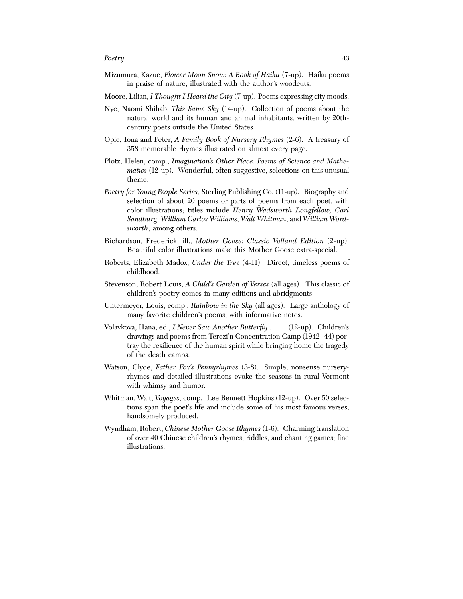- Mizumura, Kazue, *Flower Moon Snow: A Book of Haiku* (7-up). Haiku poems in praise of nature, illustrated with the author's woodcuts.
- Moore, Lilian, *I Thought I Heard the City* (7-up). Poems expressing city moods.
- Nye, Naomi Shihab, *This Same Sky* (14-up). Collection of poems about the natural world and its human and animal inhabitants, written by 20thcentury poets outside the United States.
- Opie, Iona and Peter, *A Family Book of Nursery Rhymes* (2-6). A treasury of 358 memorable rhymes illustrated on almost every page.
- Plotz, Helen, comp., *Imagination's Other Place: Poems of Science and Mathematics* (12-up). Wonderful, often suggestive, selections on this unusual theme.
- *Poetry for Young People Series*, Sterling Publishing Co. (11-up). Biography and selection of about 20 poems or parts of poems from each poet, with color illustrations; titles include *Henry Wadsworth Longfellow, Carl Sandburg, William Carlos Williams, Walt Whitman*, and *William Wordsworth*, among others.
- Richardson, Frederick, ill., *Mother Goose: Classic Volland Edition* (2-up). Beautiful color illustrations make this Mother Goose extra-special.
- Roberts, Elizabeth Madox, *Under the Tree* (4-11). Direct, timeless poems of childhood.
- Stevenson, Robert Louis, *A Child's Garden of Verses* (all ages). This classic of children's poetry comes in many editions and abridgments.
- Untermeyer, Louis, comp., *Rainbow in the Sky* (all ages). Large anthology of many favorite children's poems, with informative notes.
- Volavkova, Hana, ed., *I Never Saw Another Butterfly* . . . (12-up). Children's drawings and poems from Terezi'n Concentration Camp (1942–44) portray the resilience of the human spirit while bringing home the tragedy of the death camps.
- Watson, Clyde, *Father Fox's Pennyrhymes* (3-8). Simple, nonsense nurseryrhymes and detailed illustrations evoke the seasons in rural Vermont with whimsy and humor.
- Whitman, Walt, *Voyages,* comp. Lee Bennett Hopkins (12-up). Over 50 selections span the poet's life and include some of his most famous verses; handsomely produced.
- Wyndham, Robert, *Chinese Mother Goose Rhymes* (1-6). Charming translation of over 40 Chinese children's rhymes, riddles, and chanting games; fine illustrations.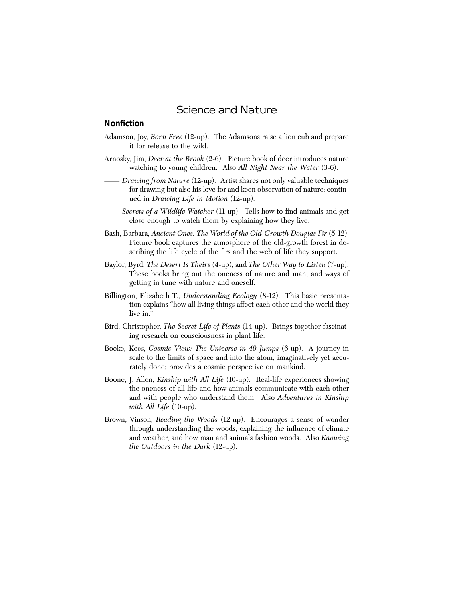## Science and Nature

#### <span id="page-46-0"></span>**Nonfiction**

- Adamson, Joy, *Born Free* (12-up). The Adamsons raise a lion cub and prepare it for release to the wild.
- Arnosky, Jim, *Deer at the Brook* (2-6). Picture book of deer introduces nature watching to young children. Also *All Night Near the Water* (3-6).
- —— *Drawing from Nature* (12-up). Artist shares not only valuable techniques for drawing but also his love for and keen observation of nature; continued in *Drawing Life in Motion* (12-up).
- —— *Secrets of a Wildlife Watcher* (11-up). Tells how to find animals and get close enough to watch them by explaining how they live.
- Bash, Barbara, *Ancient Ones: The World of the Old-Growth Douglas Fir* (5-12). Picture book captures the atmosphere of the old-growth forest in describing the life cycle of the firs and the web of life they support.
- Baylor, Byrd, *The Desert Is Theirs* (4-up), and *The Other Way to Listen* (7-up). These books bring out the oneness of nature and man, and ways of getting in tune with nature and oneself.
- Billington, Elizabeth T., *Understanding Ecology* (8-12). This basic presentation explains ''how all living things affect each other and the world they live in.''
- Bird, Christopher, *The Secret Life of Plants* (14-up). Brings together fascinating research on consciousness in plant life.
- Boeke, Kees, *Cosmic View: The Universe in 40 Jumps* (6-up). A journey in scale to the limits of space and into the atom, imaginatively yet accurately done; provides a cosmic perspective on mankind.
- Boone, J. Allen, *Kinship with All Life* (10-up). Real-life experiences showing the oneness of all life and how animals communicate with each other and with people who understand them. Also *Adventures in Kinship with All Life* (10-up).
- Brown, Vinson, *Reading the Woods* (12-up). Encourages a sense of wonder through understanding the woods, explaining the influence of climate and weather, and how man and animals fashion woods. Also *Knowing the Outdoors in the Dark* (12-up).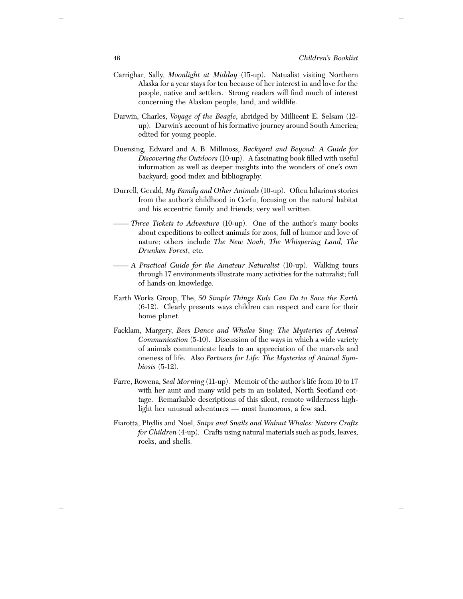- Carrighar, Sally, *Moonlight at Midday* (15-up). Natualist visiting Northern Alaska for a year stays for ten because of her interest in and love for the people, native and settlers. Strong readers will find much of interest concerning the Alaskan people, land, and wildlife.
- Darwin, Charles, *Voyage of the Beagle*, abridged by Millicent E. Selsam (12 up). Darwin's account of his formative journey around South America; edited for young people.
- Duensing, Edward and A. B. Millmoss, *Backyard and Beyond: A Guide for Discovering the Outdoors* (10-up). A fascinating book filled with useful information as well as deeper insights into the wonders of one's own backyard; good index and bibliography.
- Durrell, Gerald, *My Family and Other Animals* (10-up). Often hilarious stories from the author's childhood in Corfu, focusing on the natural habitat and his eccentric family and friends; very well written.
- —— *Three Tickets to Adventure* (10-up). One of the author's many books about expeditions to collect animals for zoos, full of humor and love of nature; others include *The New Noah*, *The Whispering Land, The Drunken Forest*, etc.
- —— *A Practical Guide for the Amateur Naturalist* (10-up). Walking tours through 17 environments illustrate many activities for the naturalist; full of hands-on knowledge.
- Earth Works Group, The, *50 Simple Things Kids Can Do to Save the Earth* (6-12). Clearly presents ways children can respect and care for their home planet.
- Facklam, Margery, *Bees Dance and Whales Sing: The Mysteries of Animal Communication* (5-10). Discussion of the ways in which a wide variety of animals communicate leads to an appreciation of the marvels and oneness of life. Also *Partners for Life: The Mysteries of Animal Symbiosis* (5-12).
- Farre, Rowena, *Seal Morning* (11-up). Memoir of the author's life from 10 to 17 with her aunt and many wild pets in an isolated, North Scotland cottage. Remarkable descriptions of this silent, remote wilderness highlight her unusual adventures — most humorous, a few sad.
- Fiarotta, Phyllis and Noel, *Snips and Snails and Walnut Whales: Nature Crafts for Children* (4-up). Crafts using natural materials such as pods, leaves, rocks, and shells.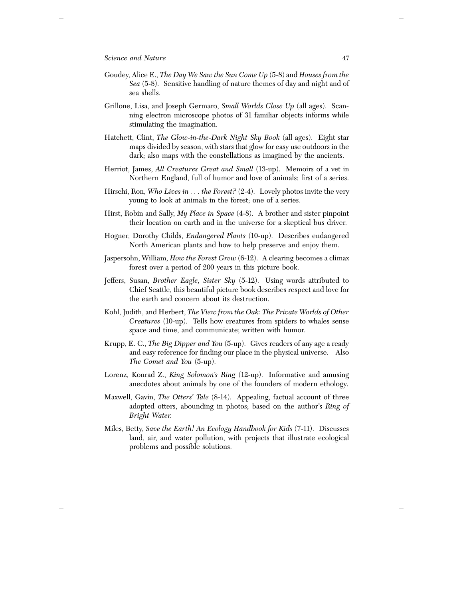- Goudey, Alice E., *The Day We Saw the Sun Come Up* (5-8) and *Houses from the Sea* (5-8). Sensitive handling of nature themes of day and night and of sea shells.
- Grillone, Lisa, and Joseph Germaro, *Small Worlds Close Up* (all ages). Scanning electron microscope photos of 31 familiar objects informs while stimulating the imagination.
- Hatchett, Clint, *The Glow-in-the-Dark Night Sky Book* (all ages). Eight star maps divided by season, with stars that glow for easy use outdoors in the dark; also maps with the constellations as imagined by the ancients.
- Herriot, James, *All Creatures Great and Small* (13-up). Memoirs of a vet in Northern England, full of humor and love of animals; first of a series.
- Hirschi, Ron, *Who Lives in . . . the Forest?* (2-4). Lovely photos invite the very young to look at animals in the forest; one of a series.
- Hirst, Robin and Sally, *My Place in Space* (4-8). A brother and sister pinpoint their location on earth and in the universe for a skeptical bus driver.
- Hogner, Dorothy Childs, *Endangered Plants* (10-up). Describes endangered North American plants and how to help preserve and enjoy them.
- Jaspersohn, William, *How the Forest Grew* (6-12). A clearing becomes a climax forest over a period of 200 years in this picture book.
- Jeffers, Susan, *Brother Eagle, Sister Sky* (5-12). Using words attributed to Chief Seattle, this beautiful picture book describes respect and love for the earth and concern about its destruction.
- Kohl, Judith, and Herbert, *The View from the Oak: The Private Worlds of Other Creatures* (10-up). Tells how creatures from spiders to whales sense space and time, and communicate; written with humor.
- Krupp, E. C., *The Big Dipper and You* (5-up). Gives readers of any age a ready and easy reference for finding our place in the physical universe. Also *The Comet and You* (5-up).
- Lorenz, Konrad Z., *King Solomon's Ring* (12-up). Informative and amusing anecdotes about animals by one of the founders of modern ethology.
- Maxwell, Gavin, *The Otters' Tale* (8-14). Appealing, factual account of three adopted otters, abounding in photos; based on the author's *Ring of Bright Water.*
- Miles, Betty, *Save the Earth! An Ecology Handbook for Kids* (7-11). Discusses land, air, and water pollution, with projects that illustrate ecological problems and possible solutions.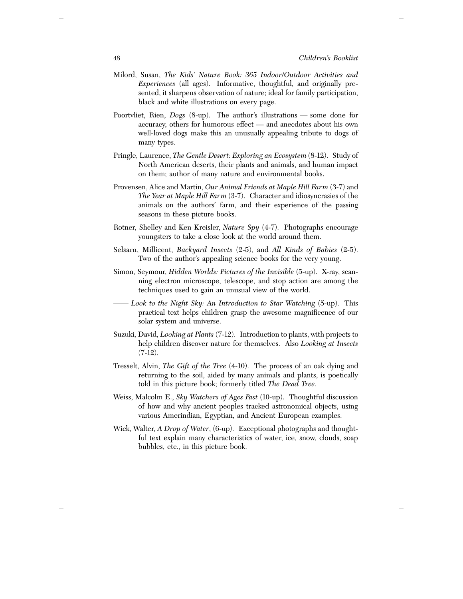- Milord, Susan, *The Kids' Nature Book: 365 Indoor/Outdoor Activities and Experiences* (all ages). Informative, thoughtful, and originally presented, it sharpens observation of nature; ideal for family participation, black and white illustrations on every page.
- Poortvliet, Rien, *Dogs* (8-up). The author's illustrations some done for accuracy, others for humorous effect — and anecdotes about his own well-loved dogs make this an unusually appealing tribute to dogs of many types.
- Pringle, Laurence, *The Gentle Desert: Exploring an Ecosystem* (8-12). Study of North American deserts, their plants and animals, and human impact on them; author of many nature and environmental books.
- Provensen, Alice and Martin, *Our Animal Friends at Maple Hill Farm* (3-7) and *The Year at Maple Hill Farm* (3-7). Character and idiosyncrasies of the animals on the authors' farm, and their experience of the passing seasons in these picture books.
- Rotner, Shelley and Ken Kreisler, *Nature Spy* (4-7). Photographs encourage youngsters to take a close look at the world around them.
- Selsarn, Millicent, *Backyard Insects* (2-5), and *All Kinds of Babies* (2-5). Two of the author's appealing science books for the very young.
- Simon, Seymour, *Hidden Worlds: Pictures of the Invisible* (5-up). X-ray, scanning electron microscope, telescope, and stop action are among the techniques used to gain an unusual view of the world.
- —— *Look to the Night Sky: An Introduction to Star Watching* (5-up). This practical text helps children grasp the awesome magnificence of our solar system and universe.
- Suzuki, David, *Looking at Plants* (7-12). Introduction to plants, with projects to help children discover nature for themselves. Also *Looking at Insects*  $(7-12)$ .
- Tresselt, Alvin, *The Gift of the Tree* (4-10). The process of an oak dying and returning to the soil, aided by many animals and plants, is poetically told in this picture book; formerly titled *The Dead Tree*.
- Weiss, Malcolm E., *Sky Watchers of Ages Past* (10-up). Thoughtful discussion of how and why ancient peoples tracked astronomical objects, using various Amerindian, Egyptian, and Ancient European examples.
- Wick, Walter, *A Drop of Water*, (6-up). Exceptional photographs and thoughtful text explain many characteristics of water, ice, snow, clouds, soap bubbles, etc., in this picture book.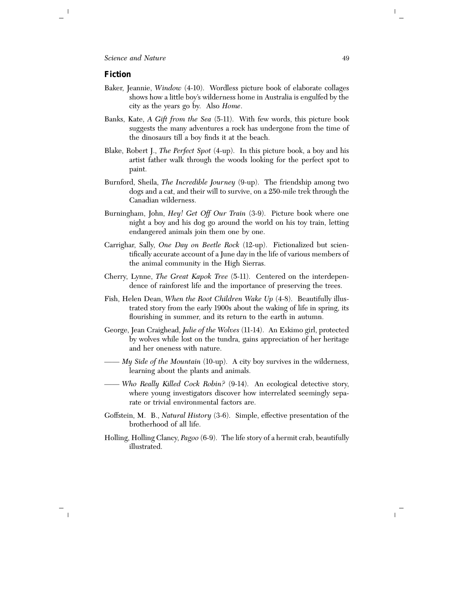#### **Fiction**

- Baker, Jeannie, *Window* (4-10). Wordless picture book of elaborate collages shows how a little boy's wilderness home in Australia is engulfed by the city as the years go by. Also *Home*.
- Banks, Kate, *A Gift from the Sea* (5-11). With few words, this picture book suggests the many adventures a rock has undergone from the time of the dinosaurs till a boy finds it at the beach.
- Blake, Robert J., *The Perfect Spot* (4-up). In this picture book, a boy and his artist father walk through the woods looking for the perfect spot to paint.
- Burnford, Sheila, *The Incredible Journey* (9-up). The friendship among two dogs and a cat, and their will to survive, on a 250-mile trek through the Canadian wilderness.
- Burningham, John, *Hey! Get Off Our Train* (3-9). Picture book where one night a boy and his dog go around the world on his toy train, letting endangered animals join them one by one.
- Carrighar, Sally, *One Day on Beetle Rock* (12-up). Fictionalized but scientifically accurate account of a June day in the life of various members of the animal community in the High Sierras.
- Cherry, Lynne, *The Great Kapok Tree* (5-11). Centered on the interdependence of rainforest life and the importance of preserving the trees.
- Fish, Helen Dean, *When the Root Children Wake Up* (4-8). Beautifully illustrated story from the early 1900s about the waking of life in spring, its flourishing in summer, and its return to the earth in autumn.
- George, Jean Craighead, *Julie of the Wolves* (11-14). An Eskimo girl, protected by wolves while lost on the tundra, gains appreciation of her heritage and her oneness with nature.
- —— *My Side of the Mountain* (10-up). A city boy survives in the wilderness, learning about the plants and animals.
- —— *Who Really Killed Cock Robin?* (9-14). An ecological detective story, where young investigators discover how interrelated seemingly separate or trivial environmental factors are.
- Goffstein, M. B., *Natural History* (3-6). Simple, effective presentation of the brotherhood of all life.
- Holling, Holling Clancy, *Pagoo* (6-9). The life story of a hermit crab, beautifully illustrated.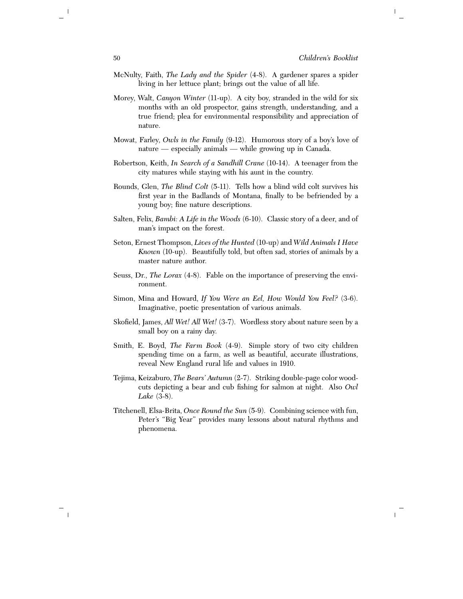- McNulty, Faith, *The Lady and the Spider* (4-8). A gardener spares a spider living in her lettuce plant; brings out the value of all life.
- Morey, Walt, *Canyon Winter* (11-up). A city boy, stranded in the wild for six months with an old prospector, gains strength, understanding, and a true friend; plea for environmental responsibility and appreciation of nature.
- Mowat, Farley, *Owls in the Family* (9-12). Humorous story of a boy's love of nature — especially animals — while growing up in Canada.
- Robertson, Keith, *In Search of a Sandhill Crane* (10-14). A teenager from the city matures while staying with his aunt in the country.
- Rounds, Glen, *The Blind Colt* (5-11). Tells how a blind wild colt survives his first year in the Badlands of Montana, finally to be befriended by a young boy; fine nature descriptions.
- Salten, Felix, *Bambi: A Life in the Woods* (6-10). Classic story of a deer, and of man's impact on the forest.
- Seton, Ernest Thompson, *Lives of the Hunted* (10-up) and *Wild Animals I Have Known* (10-up). Beautifully told, but often sad, stories of animals by a master nature author.
- Seuss, Dr., *The Lorax* (4-8). Fable on the importance of preserving the environment.
- Simon, Mina and Howard, *If You Were an Eel, How Would You Feel?* (3-6). Imaginative, poetic presentation of various animals.
- Skofield, James, *All Wet! All Wet!* (3-7). Wordless story about nature seen by a small boy on a rainy day.
- Smith, E. Boyd, *The Farm Book* (4-9). Simple story of two city children spending time on a farm, as well as beautiful, accurate illustrations, reveal New England rural life and values in 1910.
- Tejima, Keizaburo, *The Bears' Autumn* (2-7). Striking double-page color woodcuts depicting a bear and cub fishing for salmon at night. Also *Owl Lake* (3-8).
- Titchenell, Elsa-Brita, *Once Round the Sun* (5-9). Combining science with fun, Peter's "Big Year" provides many lessons about natural rhythms and phenomena.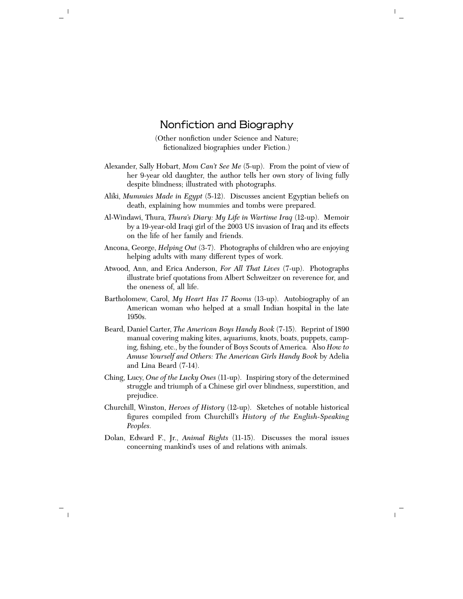### <span id="page-52-0"></span>Nonfiction and Biography

(Other nonfiction under Science and Nature; fictionalized biographies under Fiction.)

- Alexander, Sally Hobart, *Mom Can't See Me* (5-up). From the point of view of her 9-year old daughter, the author tells her own story of living fully despite blindness; illustrated with photographs.
- Aliki, *Mummies Made in Egypt* (5-12). Discusses ancient Egyptian beliefs on death, explaining how mummies and tombs were prepared.
- Al-Windawi, Thura, *Thura's Diary: My Life in Wartime Iraq* (12-up). Memoir by a 19-year-old Iraqi girl of the 2003 US invasion of Iraq and its effects on the life of her family and friends.
- Ancona, George, *Helping Out* (3-7). Photographs of children who are enjoying helping adults with many different types of work.
- Atwood, Ann, and Erica Anderson, *For All That Lives* (7-up). Photographs illustrate brief quotations from Albert Schweitzer on reverence for, and the oneness of, all life.
- Bartholomew, Carol, *My Heart Has 17 Rooms* (13-up). Autobiography of an American woman who helped at a small Indian hospital in the late 1950s.
- Beard, Daniel Carter, *The American Boys Handy Book* (7-15). Reprint of 1890 manual covering making kites, aquariums, knots, boats, puppets, camping, fishing, etc., by the founder of Boys Scouts of America. Also *How to Amuse Yourself and Others: The American Girls Handy Book* by Adelia and Lina Beard (7-14).
- Ching, Lucy, *One of the Lucky Ones* (11-up). Inspiring story of the determined struggle and triumph of a Chinese girl over blindness, superstition, and prejudice.
- Churchill, Winston, *Heroes of History* (12-up). Sketches of notable historical figures compiled from Churchill's *History of the English-Speaking Peoples.*
- Dolan, Edward F., Jr., *Animal Rights* (11-15). Discusses the moral issues concerning mankind's uses of and relations with animals.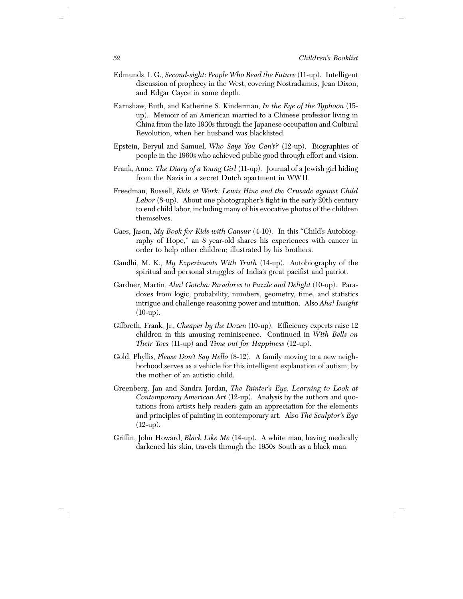- Edmunds, I. G., *Second-sight: People Who Read the Future* (11-up). Intelligent discussion of prophecy in the West, covering Nostradamus, Jean Dixon, and Edgar Cayce in some depth.
- Earnshaw, Ruth, and Katherine S. Kinderman, *In the Eye of the Typhoon* (15 up). Memoir of an American married to a Chinese professor living in China from the late 1930s through the Japanese occupation and Cultural Revolution, when her husband was blacklisted.
- Epstein, Beryul and Samuel, *Who Says You Can't?* (12-up). Biographies of people in the 1960s who achieved public good through effort and vision.
- Frank, Anne, *The Diary of a Young Girl* (11-up). Journal of a Jewish girl hiding from the Nazis in a secret Dutch apartment in WWII.
- Freedman, Russell, *Kids at Work: Lewis Hine and the Crusade against Child Labor* (8-up). About one photographer's fight in the early 20th century to end child labor, including many of his evocative photos of the children themselves.
- Gaes, Jason, *My Book for Kids with Cansur* (4-10). In this "Child's Autobiography of Hope," an 8 year-old shares his experiences with cancer in order to help other children; illustrated by his brothers.
- Gandhi, M. K., *My Experiments With Truth* (14-up). Autobiography of the spiritual and personal struggles of India's great pacifist and patriot.
- Gardner, Martin, *Aha! Gotcha: Paradoxes to Puzzle and Delight* (10-up). Paradoxes from logic, probability, numbers, geometry, time, and statistics intrigue and challenge reasoning power and intuition. Also *Aha! Insight*  $(10-up).$
- Gilbreth, Frank, Jr., *Cheaper by the Dozen* (10-up). Efficiency experts raise 12 children in this amusing reminiscence. Continued in *With Bells on Their Toes* (11-up) and *Time out for Happiness* (12-up).
- Gold, Phyllis, *Please Don't Say Hello* (8-12). A family moving to a new neighborhood serves as a vehicle for this intelligent explanation of autism; by the mother of an autistic child.
- Greenberg, Jan and Sandra Jordan, *The Painter's Eye: Learning to Look at Contemporary American Art* (12-up). Analysis by the authors and quotations from artists help readers gain an appreciation for the elements and principles of painting in contemporary art. Also *The Sculptor's Eye*  $(12-up).$
- Griffin, John Howard, *Black Like Me* (14-up). A white man, having medically darkened his skin, travels through the 1950s South as a black man.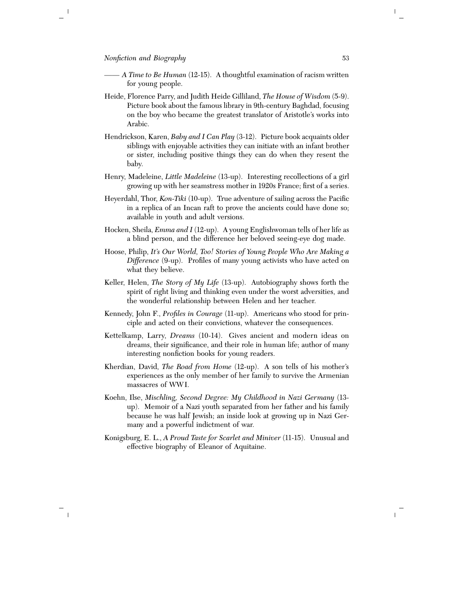- —— *A Time to Be Human* (12-15). A thoughtful examination of racism written for young people.
- Heide, Florence Parry, and Judith Heide Gilliland, *The House of Wisdom* (5-9). Picture book about the famous library in 9th-century Baghdad, focusing on the boy who became the greatest translator of Aristotle's works into Arabic.
- Hendrickson, Karen, *Baby and I Can Play* (3-12). Picture book acquaints older siblings with enjoyable activities they can initiate with an infant brother or sister, including positive things they can do when they resent the baby.
- Henry, Madeleine, *Little Madeleine* (13-up). Interesting recollections of a girl growing up with her seamstress mother in 1920s France; first of a series.
- Heyerdahl, Thor, *Kon-Tiki* (10-up). True adventure of sailing across the Pacific in a replica of an Incan raft to prove the ancients could have done so; available in youth and adult versions.
- Hocken, Sheila, *Emma and I* (12-up). A young Englishwoman tells of her life as a blind person, and the difference her beloved seeing-eye dog made.
- Hoose, Philip, *It's Our World, Too! Stories of Young People Who Are Making a Difference* (9-up). Profiles of many young activists who have acted on what they believe.
- Keller, Helen, *The Story of My Life* (13-up). Autobiography shows forth the spirit of right living and thinking even under the worst adversities, and the wonderful relationship between Helen and her teacher.
- Kennedy, John F., *Profiles in Courage* (11-up). Americans who stood for principle and acted on their convictions, whatever the consequences.
- Kettelkamp, Larry, *Dreams* (10-14). Gives ancient and modern ideas on dreams, their significance, and their role in human life; author of many interesting nonfiction books for young readers.
- Kherdian, David, *The Road from Home* (12-up). A son tells of his mother's experiences as the only member of her family to survive the Armenian massacres of WWI.
- Koehn, Ilse, *Mischling, Second Degree: My Childhood in Nazi Germany* (13 up). Memoir of a Nazi youth separated from her father and his family because he was half Jewish; an inside look at growing up in Nazi Germany and a powerful indictment of war.
- Konigsburg, E. L., *A Proud Taste for Scarlet and Miniver* (11-15). Unusual and effective biography of Eleanor of Aquitaine.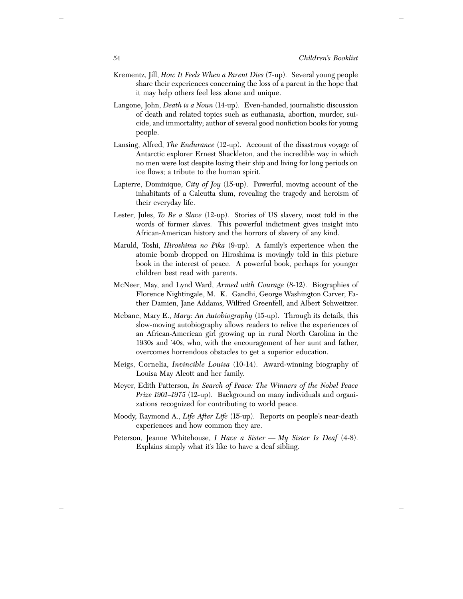- Krementz, Jill, *How It Feels When a Parent Dies* (7-up). Several young people share their experiences concerning the loss of a parent in the hope that it may help others feel less alone and unique.
- Langone, John, *Death is a Noun* (14-up). Even-handed, journalistic discussion of death and related topics such as euthanasia, abortion, murder, suicide, and immortality; author of several good nonfiction books for young people.
- Lansing, Alfred, *The Endurance* (12-up). Account of the disastrous voyage of Antarctic explorer Ernest Shackleton, and the incredible way in which no men were lost despite losing their ship and living for long periods on ice flows; a tribute to the human spirit.
- Lapierre, Dominique, *City of Joy* (15-up). Powerful, moving account of the inhabitants of a Calcutta slum, revealing the tragedy and heroism of their everyday life.
- Lester, Jules, *To Be a Slave* (12-up). Stories of US slavery, most told in the words of former slaves. This powerful indictment gives insight into African-American history and the horrors of slavery of any kind.
- Maruld, Toshi, *Hiroshima no Pika* (9-up). A family's experience when the atomic bomb dropped on Hiroshima is movingly told in this picture book in the interest of peace. A powerful book, perhaps for younger children best read with parents.
- McNeer, May, and Lynd Ward, *Armed with Courage* (8-12). Biographies of Florence Nightingale, M. K. Gandhi, George Washington Carver, Father Damien, Jane Addams, Wilfred Greenfell, and Albert Schweitzer.
- Mebane, Mary E., *Mary: An Autobiography* (15-up). Through its details, this slow-moving autobiography allows readers to relive the experiences of an African-American girl growing up in rural North Carolina in the 1930s and '40s, who, with the encouragement of her aunt and father, overcomes horrendous obstacles to get a superior education.
- Meigs, Cornelia, *Invincible Louisa* (10-14). Award-winning biography of Louisa May Alcott and her family.
- Meyer, Edith Patterson, *In Search of Peace: The Winners of the Nobel Peace Prize 1901–1975* (12-up). Background on many individuals and organizations recognized for contributing to world peace.
- Moody, Raymond A., *Life After Life* (15-up). Reports on people's near-death experiences and how common they are.
- Peterson, Jeanne Whitehouse, *I Have a Sister My Sister Is Deaf* (4-8). Explains simply what it's like to have a deaf sibling.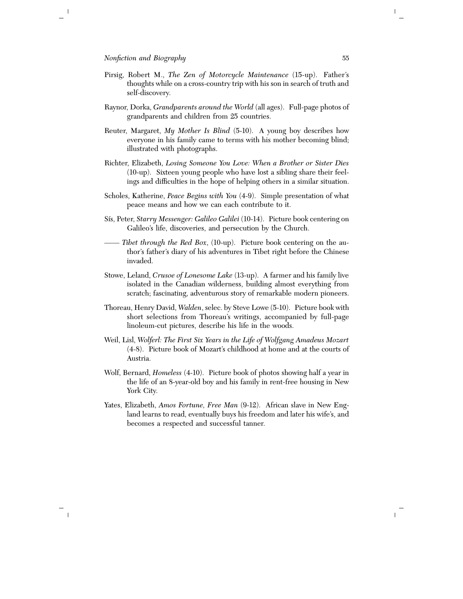- Pirsig, Robert M., *The Zen of Motorcycle Maintenance* (15-up). Father's thoughts while on a cross-country trip with his son in search of truth and self-discovery.
- Raynor, Dorka, *Grandparents around the World* (all ages). Full-page photos of grandparents and children from 25 countries.
- Reuter, Margaret, *My Mother Is Blind* (5-10). A young boy describes how everyone in his family came to terms with his mother becoming blind; illustrated with photographs.
- Richter, Elizabeth, *Losing Someone You Love: When a Brother or Sister Dies* (10-up). Sixteen young people who have lost a sibling share their feelings and difficulties in the hope of helping others in a similar situation.
- Scholes, Katherine, *Peace Begins with You* (4-9). Simple presentation of what peace means and how we can each contribute to it.
- Sís, Peter, *Starry Messenger: Galileo Galilei* (10-14). Picture book centering on Galileo's life, discoveries, and persecution by the Church.
- —— *Tibet through the Red Box*, (10-up). Picture book centering on the author's father's diary of his adventures in Tibet right before the Chinese invaded.
- Stowe, Leland, *Crusoe of Lonesome Lake* (13-up). A farmer and his family live isolated in the Canadian wilderness, building almost everything from scratch; fascinating, adventurous story of remarkable modern pioneers.
- Thoreau, Henry David, *Walden*, selec. by Steve Lowe (5-10). Picture book with short selections from Thoreau's writings, accompanied by full-page linoleum-cut pictures, describe his life in the woods.
- Weil, Lisl, *Wolferl: The First Six Years in the Life of Wolfgang Amadeus Mozart* (4-8). Picture book of Mozart's childhood at home and at the courts of Austria.
- Wolf, Bernard, *Homeless* (4-10). Picture book of photos showing half a year in the life of an 8-year-old boy and his family in rent-free housing in New York City.
- Yates, Elizabeth, *Amos Fortune, Free Man* (9-12). African slave in New England learns to read, eventually buys his freedom and later his wife's, and becomes a respected and successful tanner.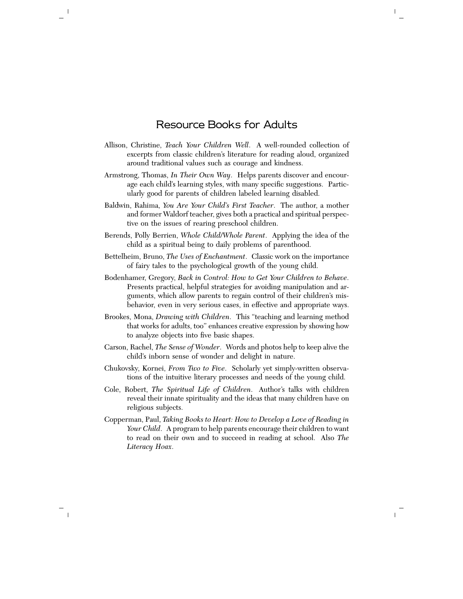#### Resource Books for Adults

- <span id="page-58-0"></span>Allison, Christine, *Teach Your Children Well*. A well-rounded collection of excerpts from classic children's literature for reading aloud, organized around traditional values such as courage and kindness.
- Armstrong, Thomas, *In Their Own Way*. Helps parents discover and encourage each child's learning styles, with many specific suggestions. Particularly good for parents of children labeled learning disabled.
- Baldwin, Rahima, *You Are Your Child's First Teacher*. The author, a mother and former Waldorf teacher, gives both a practical and spiritual perspective on the issues of rearing preschool children.
- Berends, Polly Berrien, *Whole Child/Whole Parent*. Applying the idea of the child as a spiritual being to daily problems of parenthood.
- Bettelheim, Bruno, *The Uses of Enchantment*. Classic work on the importance of fairy tales to the psychological growth of the young child.
- Bodenhamer, Gregory, *Back in Control: How to Get Your Children to Behave*. Presents practical, helpful strategies for avoiding manipulation and arguments, which allow parents to regain control of their children's misbehavior, even in very serious cases, in effective and appropriate ways.
- Brookes, Mona, *Drawing with Children*. This ''teaching and learning method that works for adults, too'' enhances creative expression by showing how to analyze objects into five basic shapes.
- Carson, Rachel, *The Sense of Wonder*. Words and photos help to keep alive the child's inborn sense of wonder and delight in nature.
- Chukovsky, Kornei, *From Two to Five*. Scholarly yet simply-written observations of the intuitive literary processes and needs of the young child.
- Cole, Robert, *The Spiritual Life of Children*. Author's talks with children reveal their innate spirituality and the ideas that many children have on religious subjects.
- Copperman, Paul, *Taking Books to Heart: How to Develop a Love of Reading in* Your Child. A program to help parents encourage their children to want to read on their own and to succeed in reading at school. Also *The Literacy Hoax*.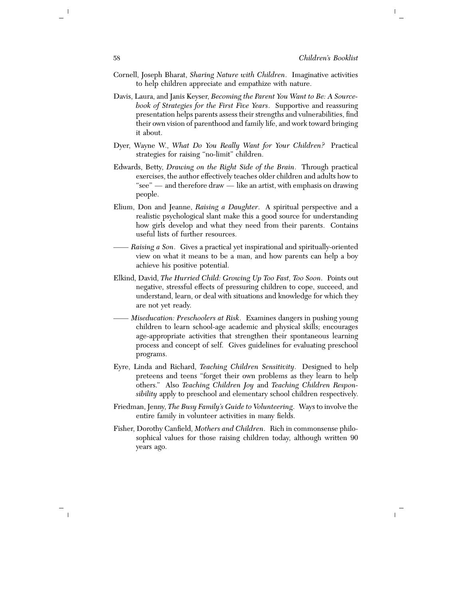- Cornell, Joseph Bharat, *Sharing Nature with Children*. Imaginative activities to help children appreciate and empathize with nature.
- Davis, Laura, and Janis Keyser, *Becoming the Parent You Want to Be: A Sourcebook of Strategies for the First Five Years*. Supportive and reassuring presentation helps parents assess their strengths and vulnerabilities, find their own vision of parenthood and family life, and work toward bringing it about.
- Dyer, Wayne W., *What Do You Really Want for Your Children?* Practical strategies for raising "no-limit" children.
- Edwards, Betty, *Drawing on the Right Side of the Brain*. Through practical exercises, the author effectively teaches older children and adults how to ''see'' — and therefore draw — like an artist, with emphasis on drawing people.
- Elium, Don and Jeanne, *Raising a Daughter*. A spiritual perspective and a realistic psychological slant make this a good source for understanding how girls develop and what they need from their parents. Contains useful lists of further resources.
- —— *Raising a Son*. Gives a practical yet inspirational and spiritually-oriented view on what it means to be a man, and how parents can help a boy achieve his positive potential.
- Elkind, David, *The Hurried Child: Growing Up Too Fast, Too Soon*. Points out negative, stressful effects of pressuring children to cope, succeed, and understand, learn, or deal with situations and knowledge for which they are not yet ready.
- —— *Miseducation: Preschoolers at Risk*. Examines dangers in pushing young children to learn school-age academic and physical skills; encourages age-appropriate activities that strengthen their spontaneous learning process and concept of self. Gives guidelines for evaluating preschool programs.
- Eyre, Linda and Richard, *Teaching Children Sensitivity*. Designed to help preteens and teens ''forget their own problems as they learn to help others.'' Also *Teaching Children Joy* and *Teaching Children Responsibility* apply to preschool and elementary school children respectively.
- Friedman, Jenny, *The Busy Family's Guide to Volunteering*. Ways to involve the entire family in volunteer activities in many fields.
- Fisher, Dorothy Canfield, *Mothers and Children*. Rich in commonsense philosophical values for those raising children today, although written 90 years ago.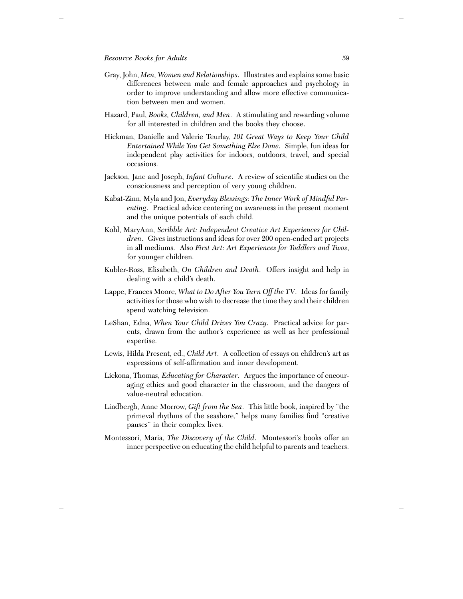- Gray, John, *Men, Women and Relationships*. Illustrates and explains some basic differences between male and female approaches and psychology in order to improve understanding and allow more effective communication between men and women.
- Hazard, Paul, *Books, Children, and Men*. A stimulating and rewarding volume for all interested in children and the books they choose.
- Hickman, Danielle and Valerie Teurlay, *101 Great Ways to Keep Your Child Entertained While You Get Something Else Done*. Simple, fun ideas for independent play activities for indoors, outdoors, travel, and special occasions.
- Jackson, Jane and Joseph, *Infant Culture*. A review of scientific studies on the consciousness and perception of very young children.
- Kabat-Zinn, Myla and Jon, *Everyday Blessings: The Inner Work of Mindful Parenting*. Practical advice centering on awareness in the present moment and the unique potentials of each child.
- Kohl, MaryAnn, *Scribble Art: Independent Creative Art Experiences for Children*. Gives instructions and ideas for over 200 open-ended art projects in all mediums. Also *First Art: Art Experiences for Toddlers and Twos*, for younger children.
- Kubler-Ross, Elisabeth, *On Children and Death*. Offers insight and help in dealing with a child's death.
- Lappe, Frances Moore, *What to Do After You Turn Off the TV*. Ideas for family activities for those who wish to decrease the time they and their children spend watching television.
- LeShan, Edna, *When Your Child Drives You Crazy*. Practical advice for parents, drawn from the author's experience as well as her professional expertise.
- Lewis, Hilda Present, ed., *Child Art*. A collection of essays on children's art as expressions of self-affirmation and inner development.
- Lickona, Thomas, *Educating for Character*. Argues the importance of encouraging ethics and good character in the classroom, and the dangers of value-neutral education.
- Lindbergh, Anne Morrow, *Gift from the Sea*. This little book, inspired by ''the primeval rhythms of the seashore," helps many families find "creative pauses'' in their complex lives.
- Montessori, Maria, *The Discovery of the Child*. Montessori's books offer an inner perspective on educating the child helpful to parents and teachers.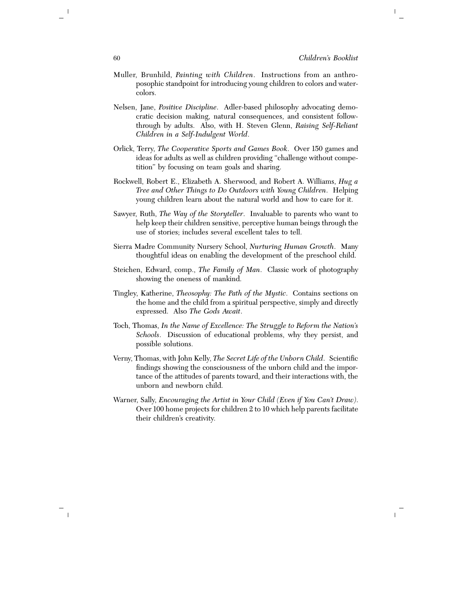- Muller, Brunhild, *Painting with Children*. Instructions from an anthroposophic standpoint for introducing young children to colors and watercolors.
- Nelsen, Jane, *Positive Discipline*. Adler-based philosophy advocating democratic decision making, natural consequences, and consistent followthrough by adults. Also, with H. Steven Glenn, *Raising Self-Reliant Children in a Self-Indulgent World*.
- Orlick, Terry, *The Cooperative Sports and Games Book*. Over 150 games and ideas for adults as well as children providing ''challenge without competition'' by focusing on team goals and sharing.
- Rockwell, Robert E., Elizabeth A. Sherwood, and Robert A. Williams, *Hug a Tree and Other Things to Do Outdoors with Young Children*. Helping young children learn about the natural world and how to care for it.
- Sawyer, Ruth, *The Way of the Storyteller*. Invaluable to parents who want to help keep their children sensitive, perceptive human beings through the use of stories; includes several excellent tales to tell.
- Sierra Madre Community Nursery School, *Nurturing Human Growth*. Many thoughtful ideas on enabling the development of the preschool child.
- Steichen, Edward, comp., *The Family of Man*. Classic work of photography showing the oneness of mankind.
- Tingley, Katherine, *Theosophy: The Path of the Mystic*. Contains sections on the home and the child from a spiritual perspective, simply and directly expressed. Also *The Gods Await*.
- Toch, Thomas, *In the Name of Excellence: The Struggle to Reform the Nation's Schools*. Discussion of educational problems, why they persist, and possible solutions.
- Verny, Thomas, with John Kelly, *The Secret Life of the Unborn Child*. Scientific findings showing the consciousness of the unborn child and the importance of the attitudes of parents toward, and their interactions with, the unborn and newborn child.
- Warner, Sally, *Encouraging the Artist in Your Child (Even if You Can't Draw)*. Over 100 home projects for children 2 to 10 which help parents facilitate their children's creativity.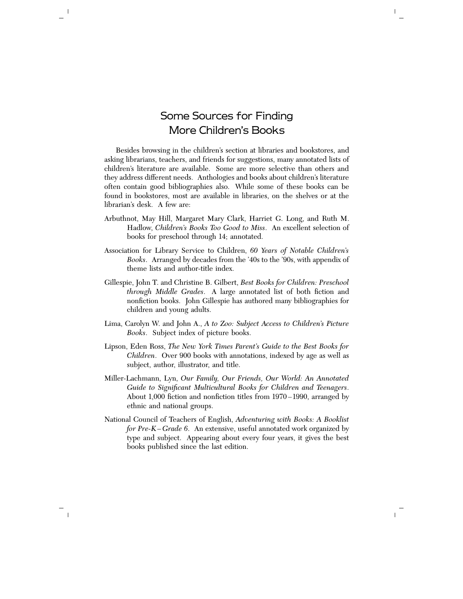## <span id="page-62-0"></span>Some Sources for Finding More Children's Books

Besides browsing in the children's section at libraries and bookstores, and asking librarians, teachers, and friends for suggestions, many annotated lists of children's literature are available. Some are more selective than others and they address different needs. Anthologies and books about children's literature often contain good bibliographies also. While some of these books can be found in bookstores, most are available in libraries, on the shelves or at the librarian's desk. A few are:

- Arbuthnot, May Hill, Margaret Mary Clark, Harriet G. Long, and Ruth M. Hadlow, *Children's Books Too Good to Miss*. An excellent selection of books for preschool through 14; annotated.
- Association for Library Service to Children, *60 Years of Notable Children's Books*. Arranged by decades from the '40s to the '90s, with appendix of theme lists and author-title index.
- Gillespie, John T. and Christine B. Gilbert, *Best Books for Children: Preschool through Middle Grades*. A large annotated list of both fiction and nonfiction books. John Gillespie has authored many bibliographies for children and young adults.
- Lima, Carolyn W. and John A., *A to Zoo: Subject Access to Children's Picture Books*. Subject index of picture books.
- Lipson, Eden Ross, *The New York Times Parent's Guide to the Best Books for Children*. Over 900 books with annotations, indexed by age as well as subject, author, illustrator, and title.
- Miller-Lachmann, Lyn, *Our Family, Our Friends, Our World: An Annotated Guide to Significant Multicultural Books for Children and Teenagers*. About 1,000 fiction and nonfiction titles from 1970 –1990, arranged by ethnic and national groups.
- National Council of Teachers of English, *Adventuring with Books: A Booklist for Pre-K – Grade 6*. An extensive, useful annotated work organized by type and subject. Appearing about every four years, it gives the best books published since the last edition.